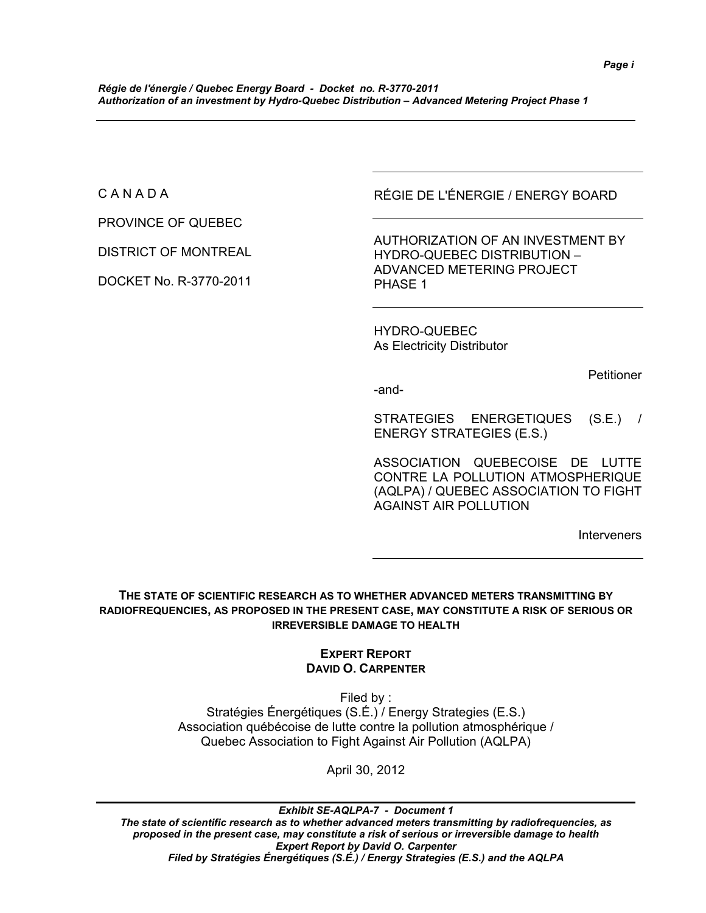C A N A D A

PROVINCE OF QUEBEC

DISTRICT OF MONTREAL

DOCKET No. R-3770-2011

RÉGIE DE L'ÉNERGIE / ENERGY BOARD

AUTHORIZATION OF AN INVESTMENT BY HYDRO-QUEBEC DISTRIBUTION -ADVANCED METERING PROJECT PHASE 1

HYDRO-QUEBEC As Electricity Distributor

Petitioner

-and-

STRATEGIES ENERGETIQUES (S.E.) / ENERGY STRATEGIES (E.S.)

ASSOCIATION QUEBECOISE DE LUTTE CONTRE LA POLLUTION ATMOSPHERIQUE (AQLPA) / QUEBEC ASSOCIATION TO FIGHT AGAINST AIR POLLUTION

Interveners

**THE STATE OF SCIENTIFIC RESEARCH AS TO WHETHER ADVANCED METERS TRANSMITTING BY RADIOFREQUENCIES, AS PROPOSED IN THE PRESENT CASE, MAY CONSTITUTE A RISK OF SERIOUS OR IRREVERSIBLE DAMAGE TO HEALTH**

#### **EXPERT REPORT DAVID O. CARPENTER**

Filed by : Stratégies Énergétiques (S.É.) / Energy Strategies (E.S.) Association québécoise de lutte contre la pollution atmosphérique / Quebec Association to Fight Against Air Pollution (AQLPA)

April 30, 2012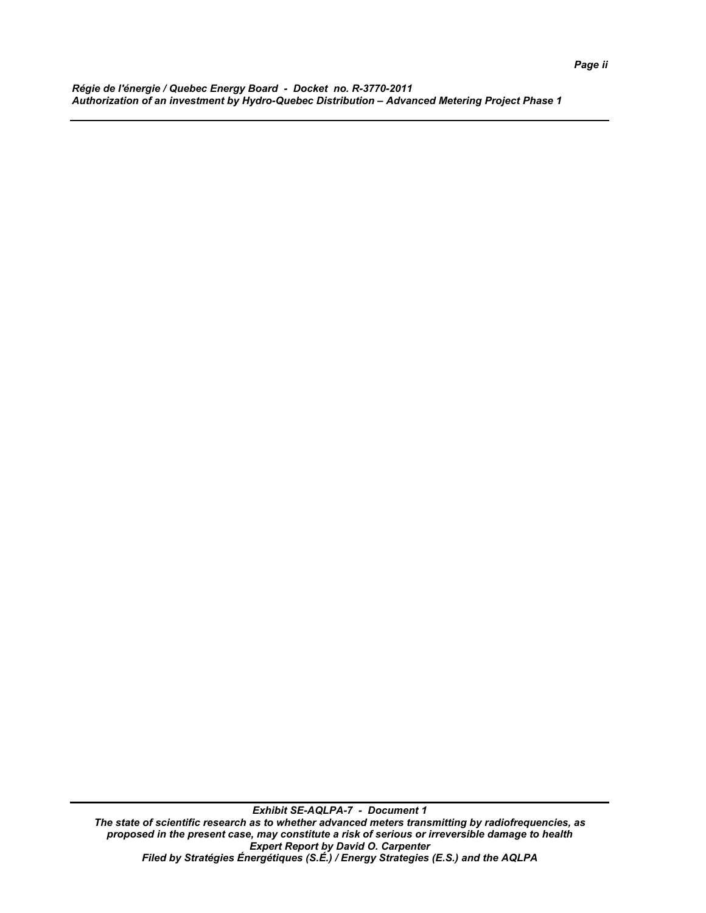*Régie de l'énergie / Quebec Energy Board - Docket no. R-3770-2011 Authorization of an investment by Hydro-Quebec Distribution – Advanced Metering Project Phase 1*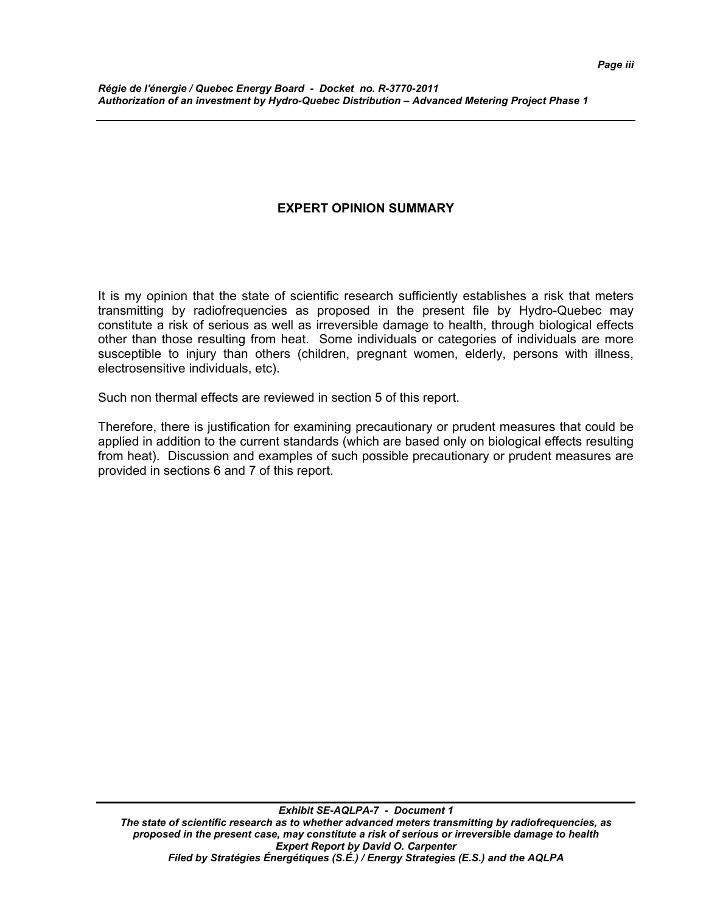# **EXPERT OPINION SUMMARY**

It is my opinion that the state of scientific research sufficiently establishes a risk that meters transmitting by radiofrequencies as proposed in the present file by Hydro-Quebec may constitute a risk of serious as well as irreversible damage to health, through biological effects other than those resulting from heat. Some individuals or categories of individuals are more susceptible to injury than others (children, pregnant women, elderly, persons with illness, electrosensitive individuals, etc).

Such non thermal effects are reviewed in section 5 of this report.

Therefore, there is justification for examining precautionary or prudent measures that could be applied in addition to the current standards (which are based only on biological effects resulting from heat). Discussion and examples of such possible precautionary or prudent measures are provided in sections 6 and 7 of this report.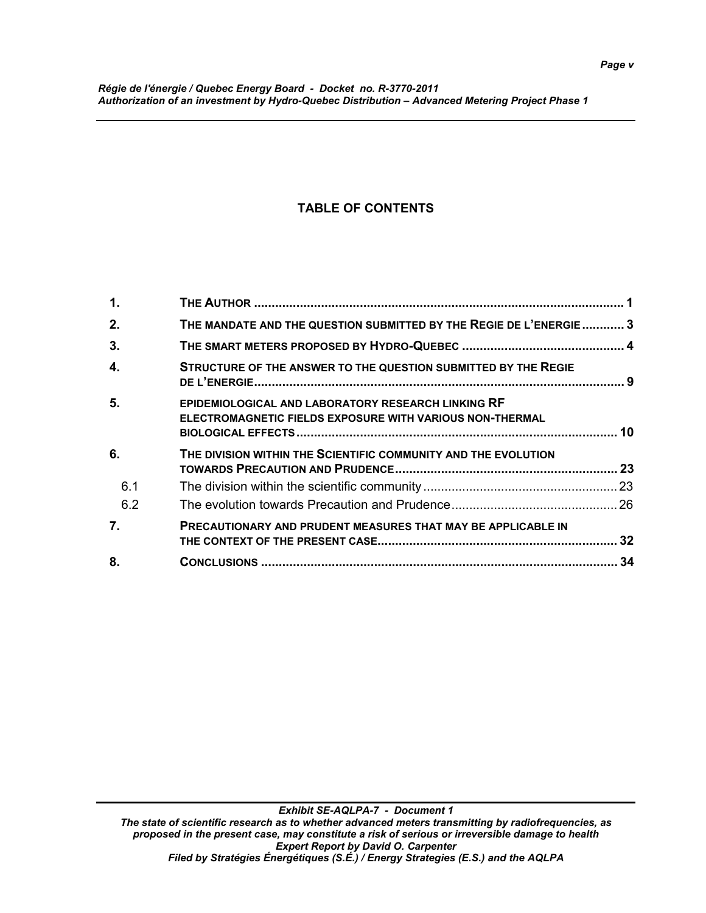# **TABLE OF CONTENTS**

| $\mathbf 1$ . |                                                                                                                |  |
|---------------|----------------------------------------------------------------------------------------------------------------|--|
| 2.            | THE MANDATE AND THE QUESTION SUBMITTED BY THE REGIE DE L'ENERGIE 3                                             |  |
| 3.            |                                                                                                                |  |
| 4.            | STRUCTURE OF THE ANSWER TO THE QUESTION SUBMITTED BY THE REGIE                                                 |  |
| 5.            | EPIDEMIOLOGICAL AND LABORATORY RESEARCH LINKING RF<br>ELECTROMAGNETIC FIELDS EXPOSURE WITH VARIOUS NON-THERMAL |  |
| 6.            | THE DIVISION WITHIN THE SCIENTIFIC COMMUNITY AND THE EVOLUTION                                                 |  |
| 6.1           |                                                                                                                |  |
| 6.2           |                                                                                                                |  |
| 7.            | <b>PRECAUTIONARY AND PRUDENT MEASURES THAT MAY BE APPLICABLE IN</b>                                            |  |
| 8.            |                                                                                                                |  |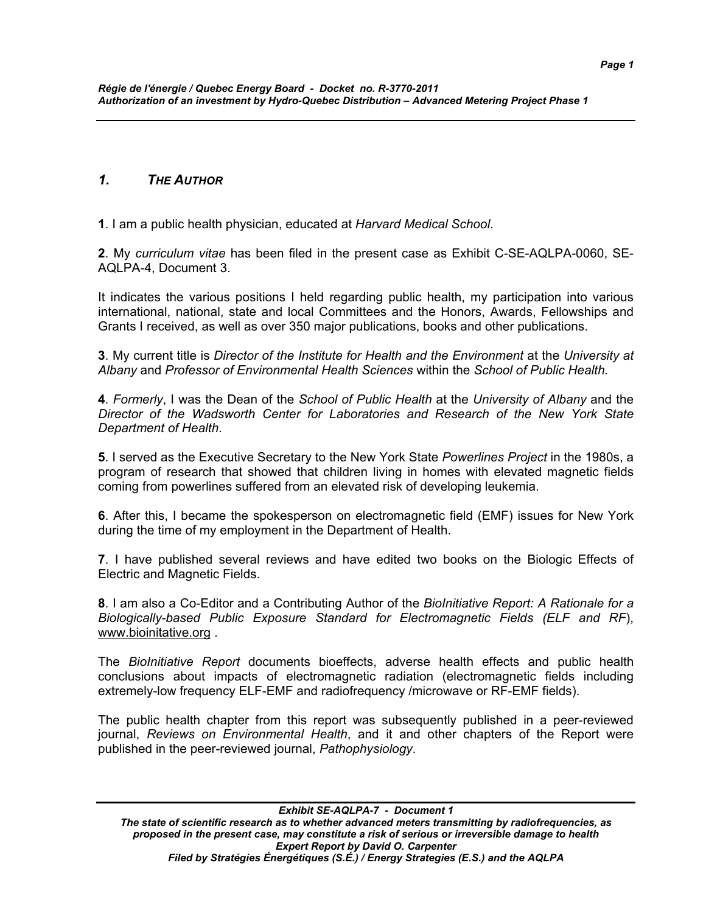## *1. THE AUTHOR*

**1**. I am a public health physician, educated at *Harvard Medical School*.

**2**. My *curriculum vitae* has been filed in the present case as Exhibit C-SE-AQLPA-0060, SE-AQLPA-4, Document 3.

It indicates the various positions I held regarding public health, my participation into various international, national, state and local Committees and the Honors, Awards, Fellowships and Grants I received, as well as over 350 major publications, books and other publications.

**3**. My current title is *Director of the Institute for Health and the Environment* at the *University at Albany* and *Professor of Environmental Health Sciences* within the *School of Public Health.* 

**4**. *Formerly*, I was the Dean of the *School of Public Health* at the *University of Albany* and the *Director of the Wadsworth Center for Laboratories and Research of the New York State Department of Health*.

**5**. I served as the Executive Secretary to the New York State *Powerlines Project* in the 1980s, a program of research that showed that children living in homes with elevated magnetic fields coming from powerlines suffered from an elevated risk of developing leukemia.

**6**. After this, I became the spokesperson on electromagnetic field (EMF) issues for New York during the time of my employment in the Department of Health.

**7**. I have published several reviews and have edited two books on the Biologic Effects of Electric and Magnetic Fields.

**8**. I am also a Co-Editor and a Contributing Author of the *BioInitiative Report: A Rationale for a Biologically-based Public Exposure Standard for Electromagnetic Fields (ELF and RF*), www.bioinitative.org .

The *BioInitiative Report* documents bioeffects, adverse health effects and public health conclusions about impacts of electromagnetic radiation (electromagnetic fields including extremely-low frequency ELF-EMF and radiofrequency /microwave or RF-EMF fields).

The public health chapter from this report was subsequently published in a peer-reviewed journal, *Reviews on Environmental Health*, and it and other chapters of the Report were published in the peer-reviewed journal, *Pathophysiology*.

*Exhibit SE-AQLPA-7 - Document 1*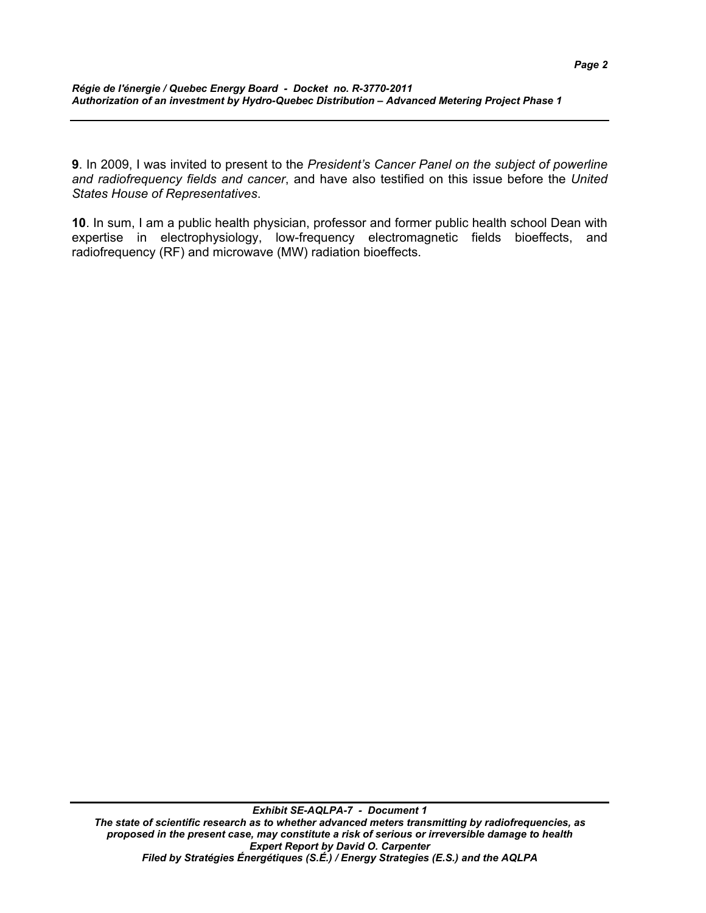**9**. In 2009, I was invited to present to the *President's Cancer Panel on the subject of powerline and radiofrequency fields and cancer*, and have also testified on this issue before the *United States House of Representatives*.

**10**. In sum, I am a public health physician, professor and former public health school Dean with expertise in electrophysiology, low-frequency electromagnetic fields bioeffects, and radiofrequency (RF) and microwave (MW) radiation bioeffects.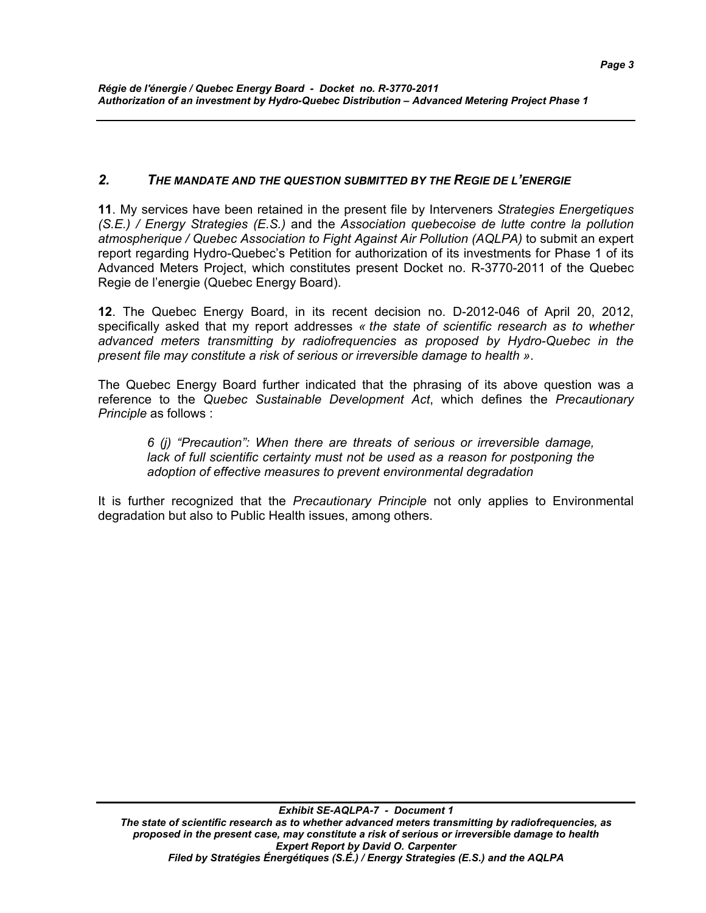## *2. THE MANDATE AND THE QUESTION SUBMITTED BY THE REGIE DE L'ENERGIE*

**11**. My services have been retained in the present file by Interveners *Strategies Energetiques (S.E.) / Energy Strategies (E.S.)* and the *Association quebecoise de lutte contre la pollution atmospherique / Quebec Association to Fight Against Air Pollution (AQLPA)* to submit an expert report regarding Hydro-Quebec's Petition for authorization of its investments for Phase 1 of its Advanced Meters Project, which constitutes present Docket no. R-3770-2011 of the Quebec Regie de l'energie (Quebec Energy Board).

**12**. The Quebec Energy Board, in its recent decision no. D-2012-046 of April 20, 2012, specifically asked that my report addresses *« the state of scientific research as to whether advanced meters transmitting by radiofrequencies as proposed by Hydro-Quebec in the present file may constitute a risk of serious or irreversible damage to health »*.

The Quebec Energy Board further indicated that the phrasing of its above question was a reference to the *Quebec Sustainable Development Act*, which defines the *Precautionary Principle* as follows :

*6 (j) "Precaution": When there are threats of serious or irreversible damage,*  lack of full scientific certainty must not be used as a reason for postponing the *adoption of effective measures to prevent environmental degradation* 

It is further recognized that the *Precautionary Principle* not only applies to Environmental degradation but also to Public Health issues, among others.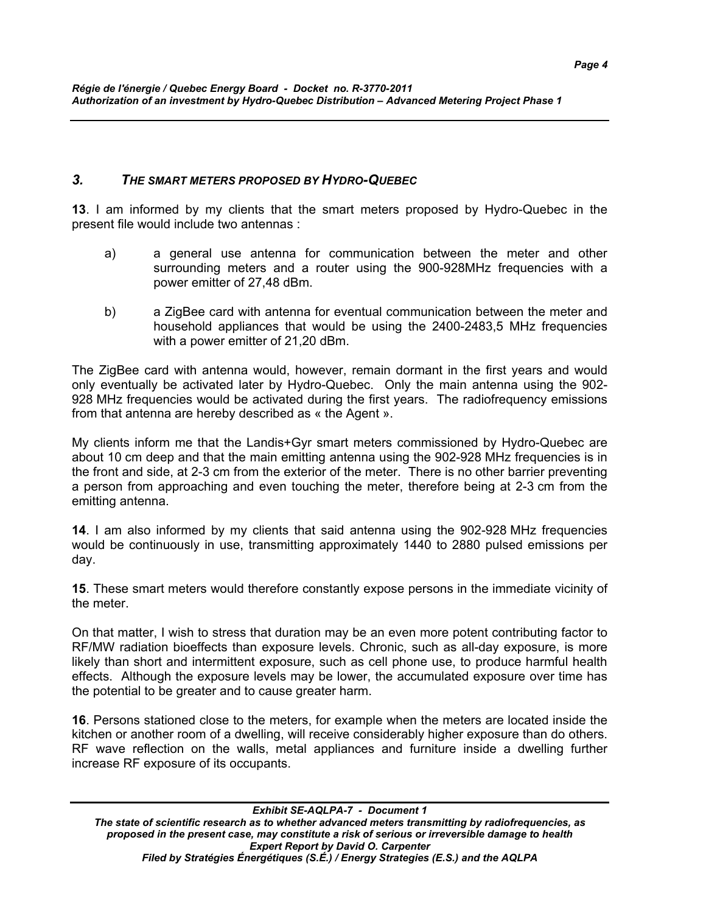### *3. THE SMART METERS PROPOSED BY HYDRO-QUEBEC*

**13**. I am informed by my clients that the smart meters proposed by Hydro-Quebec in the present file would include two antennas :

- a) a general use antenna for communication between the meter and other surrounding meters and a router using the 900-928MHz frequencies with a power emitter of 27,48 dBm.
- b) a ZigBee card with antenna for eventual communication between the meter and household appliances that would be using the 2400-2483,5 MHz frequencies with a power emitter of 21,20 dBm.

The ZigBee card with antenna would, however, remain dormant in the first years and would only eventually be activated later by Hydro-Quebec. Only the main antenna using the 902- 928 MHz frequencies would be activated during the first years. The radiofrequency emissions from that antenna are hereby described as « the Agent ».

My clients inform me that the Landis+Gyr smart meters commissioned by Hydro-Quebec are about 10 cm deep and that the main emitting antenna using the 902-928 MHz frequencies is in the front and side, at 2-3 cm from the exterior of the meter. There is no other barrier preventing a person from approaching and even touching the meter, therefore being at 2-3 cm from the emitting antenna.

**14**. I am also informed by my clients that said antenna using the 902-928 MHz frequencies would be continuously in use, transmitting approximately 1440 to 2880 pulsed emissions per day.

**15**. These smart meters would therefore constantly expose persons in the immediate vicinity of the meter.

On that matter, I wish to stress that duration may be an even more potent contributing factor to RF/MW radiation bioeffects than exposure levels. Chronic, such as all-day exposure, is more likely than short and intermittent exposure, such as cell phone use, to produce harmful health effects. Although the exposure levels may be lower, the accumulated exposure over time has the potential to be greater and to cause greater harm.

**16**. Persons stationed close to the meters, for example when the meters are located inside the kitchen or another room of a dwelling, will receive considerably higher exposure than do others. RF wave reflection on the walls, metal appliances and furniture inside a dwelling further increase RF exposure of its occupants.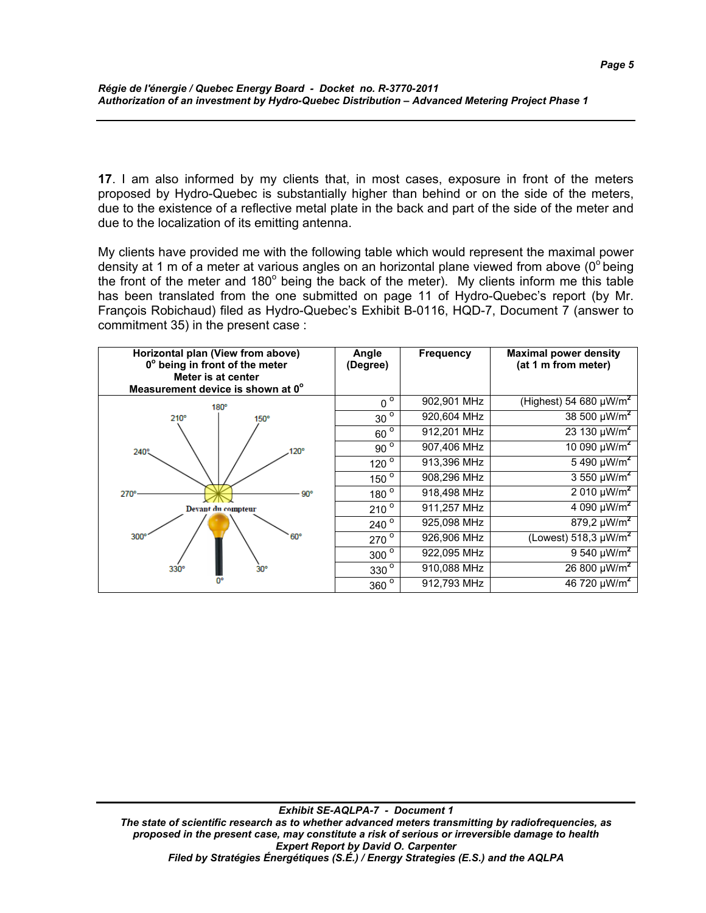**17**. I am also informed by my clients that, in most cases, exposure in front of the meters proposed by Hydro-Quebec is substantially higher than behind or on the side of the meters, due to the existence of a reflective metal plate in the back and part of the side of the meter and due to the localization of its emitting antenna.

My clients have provided me with the following table which would represent the maximal power density at 1 m of a meter at various angles on an horizontal plane viewed from above ( $0^{\circ}$  being the front of the meter and  $180^\circ$  being the back of the meter). My clients inform me this table has been translated from the one submitted on page 11 of Hydro-Quebec's report (by Mr. François Robichaud) filed as Hydro-Quebec's Exhibit B-0116, HQD-7, Document 7 (answer to commitment 35) in the present case :

| Horizontal plan (View from above)<br>0° being in front of the meter | Angle<br>(Degree) | <b>Frequency</b> | <b>Maximal power density</b><br>(at 1 m from meter) |
|---------------------------------------------------------------------|-------------------|------------------|-----------------------------------------------------|
| Meter is at center<br>Measurement device is shown at 0°             |                   |                  |                                                     |
| $180^\circ$                                                         | $0^{\circ}$       | 902,901 MHz      | (Highest) 54 680 $\mu$ W/m <sup>2</sup>             |
| 210°<br>150°                                                        | $30^{\circ}$      | 920,604 MHz      | 38 500 $\mu$ W/m <sup>2</sup>                       |
|                                                                     | 60 <sup>o</sup>   | 912,201 MHz      | 23 130 $\mu$ W/m <sup>2</sup>                       |
| 120°<br>240°                                                        | 90 $^{\circ}$     | 907,406 MHz      | 10 090 $\mu$ W/m <sup>2</sup>                       |
|                                                                     | $120^\circ$       | 913,396 MHz      | $5490 \mu W/m^2$                                    |
|                                                                     | $150^{\circ}$     | 908,296 MHz      | $3550 \mu W/m^2$                                    |
| 270°<br>$90^\circ$                                                  | 180 $^{\circ}$    | 918,498 MHz      | $2010 \mu W/m^2$                                    |
| Devant du compteur                                                  | $210^{\circ}$     | 911,257 MHz      | 4 090 $\mu$ W/m <sup>2</sup>                        |
|                                                                     | 240 $^{\circ}$    | 925,098 MHz      | $879,2 \mu W/m^2$                                   |
| 300°<br>$60^\circ$                                                  | 270 $^{\circ}$    | 926,906 MHz      | (Lowest) $518.3 \mu W/m^2$                          |
|                                                                     | 300 $^{\circ}$    | 922,095 MHz      | 9 540 $\mu$ W/m <sup>2</sup>                        |
| 330°<br>$30^{\circ}$                                                | 330 $^{\circ}$    | 910,088 MHz      | 26 800 $\mu$ W/m <sup>2</sup>                       |
|                                                                     | 360 $^{\circ}$    | 912,793 MHz      | 46 720 $\mu$ W/m <sup>2</sup>                       |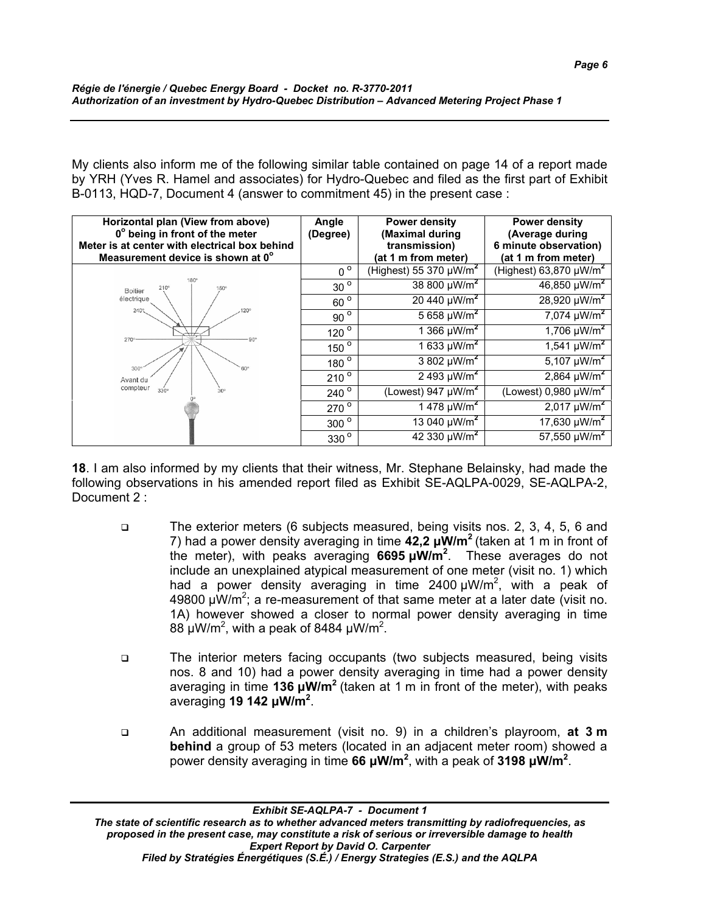My clients also inform me of the following similar table contained on page 14 of a report made by YRH (Yves R. Hamel and associates) for Hydro-Quebec and filed as the first part of Exhibit B-0113, HQD-7, Document 4 (answer to commitment 45) in the present case :

| Horizontal plan (View from above)<br>0° being in front of the meter<br>Meter is at center with electrical box behind<br>Measurement device is shown at 0° | Angle<br>(Degree) | <b>Power density</b><br>(Maximal during<br>transmission)<br>(at 1 m from meter) | <b>Power density</b><br>(Average during<br>6 minute observation)<br>(at 1 m from meter) |
|-----------------------------------------------------------------------------------------------------------------------------------------------------------|-------------------|---------------------------------------------------------------------------------|-----------------------------------------------------------------------------------------|
|                                                                                                                                                           | $0^{\circ}$       | (Highest) 55 370 $\mu$ W/m <sup>2</sup>                                         | (Highest) 63,870 $\mu$ W/m <sup>2</sup>                                                 |
| 180°<br>210°<br>$150^\circ$<br><b>Boitier</b>                                                                                                             | $30^{\circ}$      | 38 800 $\mu$ W/m <sup>2</sup>                                                   | $46,850 \mu W/m^2$                                                                      |
| électrique                                                                                                                                                | $60^{\circ}$      | 20 440 $\mu$ W/m <sup>2</sup>                                                   | $28,920 \mu W/m^2$                                                                      |
| 240°<br>120°                                                                                                                                              | 90 $^{\circ}$     | $5658 \mu W/m^2$                                                                | 7,074 $\mu$ W/m <sup>2</sup>                                                            |
| 270°<br>$90^\circ$                                                                                                                                        | 120 $^{\circ}$    | 1 366 $\mu$ W/m <sup>2</sup>                                                    | 1,706 $\mu$ W/m <sup>2</sup>                                                            |
|                                                                                                                                                           | $150^{\circ}$     | 1 633 $\mu$ W/m <sup>2</sup>                                                    | $1,541 \mu W/m^2$                                                                       |
| $300^\circ$<br>$.60^\circ$                                                                                                                                | 180 <sup>o</sup>  | $3802 \mu W/m^2$                                                                | 5,107 $\mu$ W/m <sup>2</sup>                                                            |
| Avant du                                                                                                                                                  | $210^{\circ}$     | 2 493 $\mu$ W/m <sup>2</sup>                                                    | $2,864 \mu W/m^2$                                                                       |
| compteur<br>$330^{\circ}$<br>$30^\circ$                                                                                                                   | 240 $^{\circ}$    | (Lowest) 947 $\mu$ W/m <sup>2</sup>                                             | (Lowest) $0,980 \mu W/m^2$                                                              |
|                                                                                                                                                           | 270 <sup>°</sup>  | 1 478 $\mu$ W/m <sup>2</sup>                                                    | $2,017 \mu W/m^2$                                                                       |
|                                                                                                                                                           | 300 $^{\circ}$    | 13 040 $\mu$ W/m <sup>2</sup>                                                   | 17,630 $\mu$ W/m <sup>2</sup>                                                           |
|                                                                                                                                                           | 330 <sup>o</sup>  | $42330 \mu W/m^2$                                                               | $57,550 \mu W/m^2$                                                                      |

**18**. I am also informed by my clients that their witness, Mr. Stephane Belainsky, had made the following observations in his amended report filed as Exhibit SE-AQLPA-0029, SE-AQLPA-2, Document 2 :

- The exterior meters (6 subjects measured, being visits nos. 2, 3, 4, 5, 6 and 7) had a power density averaging in time **42,2 ȝW/m<sup>2</sup>** (taken at 1 m in front of the meter), with peaks averaging **6695 ȝW/m<sup>2</sup>** . These averages do not include an unexplained atypical measurement of one meter (visit no. 1) which had a power density averaging in time 2400  $\mu$ W/m<sup>2</sup>, with a peak of 49800  $\mu$ W/m<sup>2</sup>; a re-measurement of that same meter at a later date (visit no. 1A) however showed a closer to normal power density averaging in time 88  $\mu$ W/m<sup>2</sup>, with a peak of 8484  $\mu$ W/m<sup>2</sup>.
- The interior meters facing occupants (two subjects measured, being visits nos. 8 and 10) had a power density averaging in time had a power density averaging in time **136 µW/m<sup>2</sup>** (taken at 1 m in front of the meter), with peaks averaging **19 142 ȝW/m<sup>2</sup>** .
- An additional measurement (visit no. 9) in a childrenis playroom, **at 3 m behind** a group of 53 meters (located in an adjacent meter room) showed a power density averaging in time **66 ȝW/m<sup>2</sup>** , with a peak of **3198 ȝW/m<sup>2</sup>** .

*Exhibit SE-AQLPA-7 - Document 1* 

*The state of scientific research as to whether advanced meters transmitting by radiofrequencies, as proposed in the present case, may constitute a risk of serious or irreversible damage to health Expert Report by David O. Carpenter Filed by Stratégies Énergétiques (S.É.) / Energy Strategies (E.S.) and the AQLPA*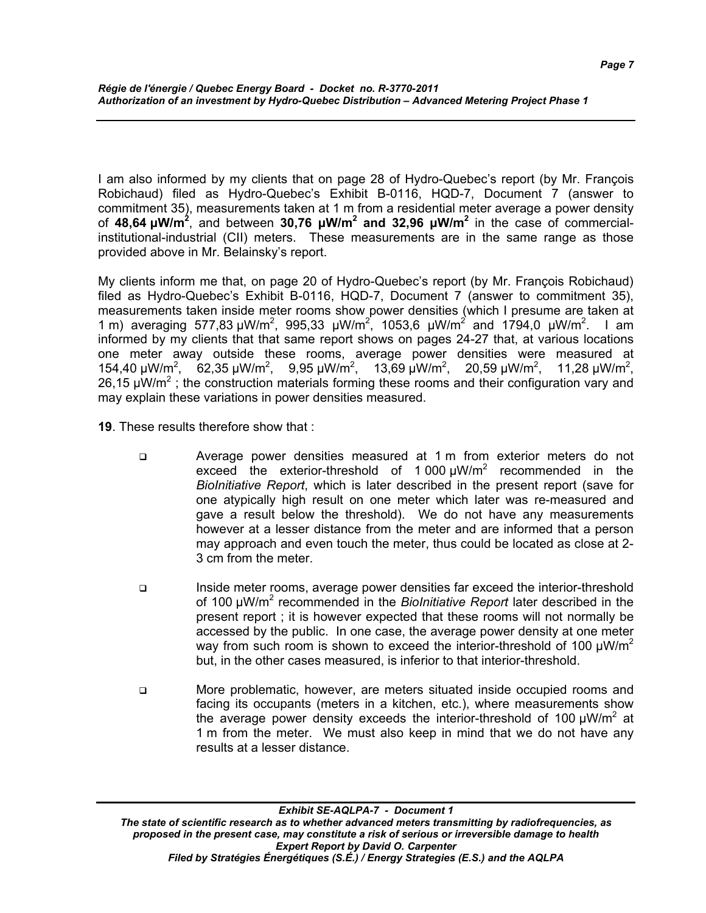I am also informed by my clients that on page 28 of Hydro-Quebec's report (by Mr. François Robichaud) filed as Hydro-Quebec's Exhibit B-0116, HQD-7, Document 7 (answer to commitment 35), measurements taken at 1 m from a residential meter average a power density of **48,64 ȝW/m<sup>2</sup>** , and between **30,76 ȝW/m<sup>2</sup> and 32,96 ȝW/m<sup>2</sup>** in the case of commercialinstitutional-industrial (CII) meters. These measurements are in the same range as those provided above in Mr. Belainsky's report.

My clients inform me that, on page 20 of Hydro-Quebec's report (by Mr. Francois Robichaud) filed as Hydro-Quebec's Exhibit B-0116, HQD-7, Document 7 (answer to commitment 35), measurements taken inside meter rooms show power densities (which I presume are taken at 1 m) averaging 577,83  $\mu$ W/m<sup>2</sup>, 995,33  $\mu$ W/m<sup>2</sup>, 1053,6  $\mu$ W/m<sup>2</sup> and 1794,0  $\mu$ W/m<sup>2</sup>. I am informed by my clients that that same report shows on pages 24-27 that, at various locations one meter away outside these rooms, average power densities were measured at 154,40  $\mu$ W/m<sup>2</sup>, 62,35  $\mu$ W/m<sup>2</sup>, 9,95  $\mu$ W/m<sup>2</sup>, 13,69  $\mu$ W/m<sup>2</sup>, 20,59  $\mu$ W/m<sup>2</sup>, 11,28  $\mu$ W/m<sup>2</sup>, 26,15  $\mu$ W/m<sup>2</sup>; the construction materials forming these rooms and their configuration vary and may explain these variations in power densities measured.

- **19**. These results therefore show that :
	- Average power densities measured at 1 m from exterior meters do not exceed the exterior-threshold of 1 000  $\mu$ W/m<sup>2</sup> recommended in the *BioInitiative Report*, which is later described in the present report (save for one atypically high result on one meter which later was re-measured and gave a result below the threshold). We do not have any measurements however at a lesser distance from the meter and are informed that a person may approach and even touch the meter, thus could be located as close at 2- 3 cm from the meter.
	- Inside meter rooms, average power densities far exceed the interior-threshold of 100 µW/m<sup>2</sup> recommended in the *BioInitiative Report* later described in the present report ; it is however expected that these rooms will not normally be accessed by the public. In one case, the average power density at one meter way from such room is shown to exceed the interior-threshold of 100  $\mu$ W/m<sup>2</sup> but, in the other cases measured, is inferior to that interior-threshold.
	- More problematic, however, are meters situated inside occupied rooms and facing its occupants (meters in a kitchen, etc.), where measurements show the average power density exceeds the interior-threshold of 100  $\mu$ W/m<sup>2</sup> at 1 m from the meter. We must also keep in mind that we do not have any results at a lesser distance.

*The state of scientific research as to whether advanced meters transmitting by radiofrequencies, as proposed in the present case, may constitute a risk of serious or irreversible damage to health Expert Report by David O. Carpenter Filed by Stratégies Énergétiques (S.É.) / Energy Strategies (E.S.) and the AQLPA*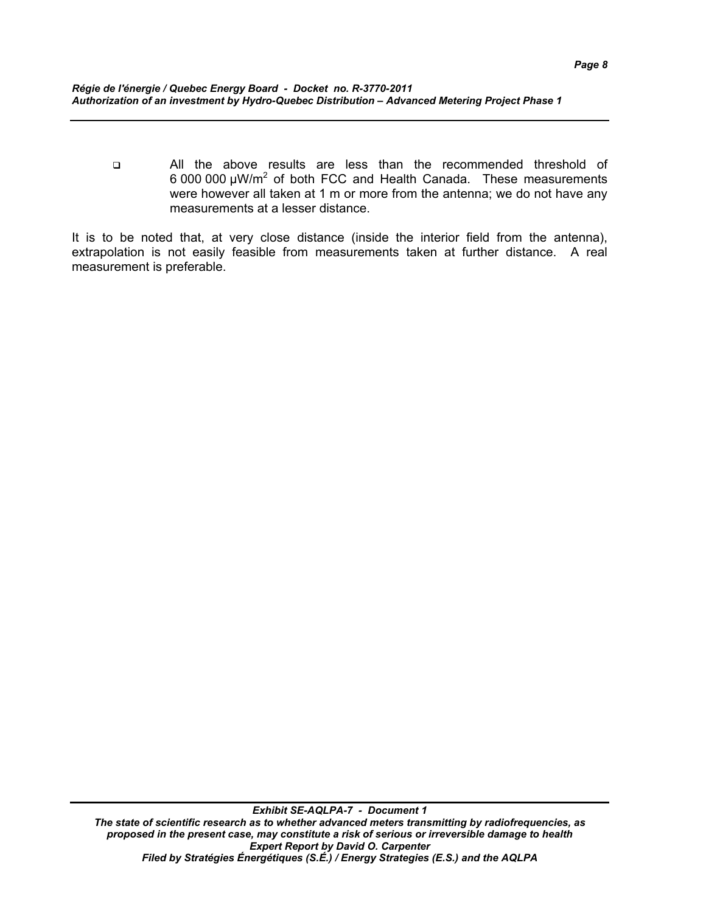All the above results are less than the recommended threshold of 6 000 000  $\mu$ W/m<sup>2</sup> of both FCC and Health Canada. These measurements were however all taken at 1 m or more from the antenna; we do not have any measurements at a lesser distance.

It is to be noted that, at very close distance (inside the interior field from the antenna), extrapolation is not easily feasible from measurements taken at further distance. A real measurement is preferable.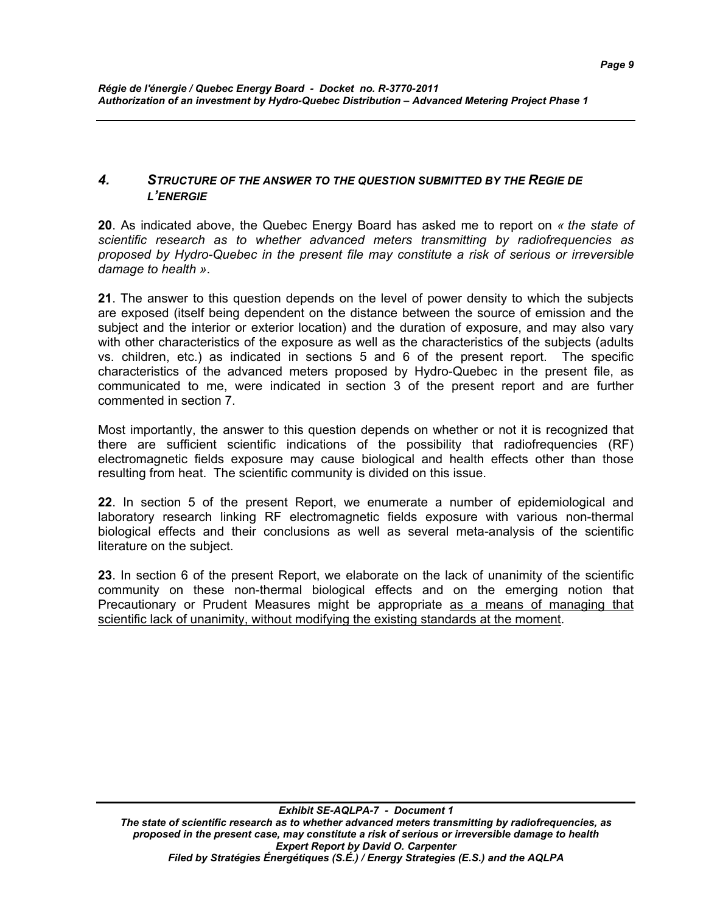### *4. STRUCTURE OF THE ANSWER TO THE QUESTION SUBMITTED BY THE REGIE DE L'ENERGIE*

**20**. As indicated above, the Quebec Energy Board has asked me to report on *« the state of scientific research as to whether advanced meters transmitting by radiofrequencies as proposed by Hydro-Quebec in the present file may constitute a risk of serious or irreversible damage to health »*.

**21**. The answer to this question depends on the level of power density to which the subjects are exposed (itself being dependent on the distance between the source of emission and the subject and the interior or exterior location) and the duration of exposure, and may also vary with other characteristics of the exposure as well as the characteristics of the subjects (adults vs. children, etc.) as indicated in sections 5 and 6 of the present report. The specific characteristics of the advanced meters proposed by Hydro-Quebec in the present file, as communicated to me, were indicated in section 3 of the present report and are further commented in section 7.

Most importantly, the answer to this question depends on whether or not it is recognized that there are sufficient scientific indications of the possibility that radiofrequencies (RF) electromagnetic fields exposure may cause biological and health effects other than those resulting from heat. The scientific community is divided on this issue.

**22**. In section 5 of the present Report, we enumerate a number of epidemiological and laboratory research linking RF electromagnetic fields exposure with various non-thermal biological effects and their conclusions as well as several meta-analysis of the scientific literature on the subject.

**23**. In section 6 of the present Report, we elaborate on the lack of unanimity of the scientific community on these non-thermal biological effects and on the emerging notion that Precautionary or Prudent Measures might be appropriate as a means of managing that scientific lack of unanimity, without modifying the existing standards at the moment.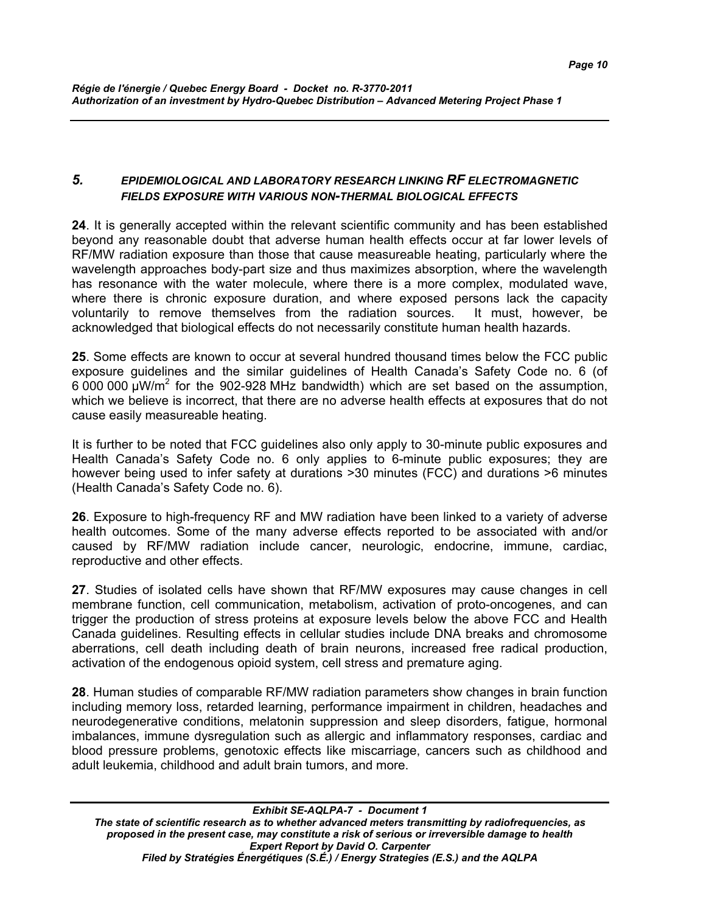#### *5. EPIDEMIOLOGICAL AND LABORATORY RESEARCH LINKING RF ELECTROMAGNETIC FIELDS EXPOSURE WITH VARIOUS NON-THERMAL BIOLOGICAL EFFECTS*

**24**. It is generally accepted within the relevant scientific community and has been established beyond any reasonable doubt that adverse human health effects occur at far lower levels of RF/MW radiation exposure than those that cause measureable heating, particularly where the wavelength approaches body-part size and thus maximizes absorption, where the wavelength has resonance with the water molecule, where there is a more complex, modulated wave, where there is chronic exposure duration, and where exposed persons lack the capacity voluntarily to remove themselves from the radiation sources. It must, however, be acknowledged that biological effects do not necessarily constitute human health hazards.

**25**. Some effects are known to occur at several hundred thousand times below the FCC public exposure guidelines and the similar guidelines of Health Canada's Safety Code no. 6 (of 6 000 000  $\mu$ W/m<sup>2</sup> for the 902-928 MHz bandwidth) which are set based on the assumption, which we believe is incorrect, that there are no adverse health effects at exposures that do not cause easily measureable heating.

It is further to be noted that FCC guidelines also only apply to 30-minute public exposures and Health Canada's Safety Code no. 6 only applies to 6-minute public exposures; they are however being used to infer safety at durations >30 minutes (FCC) and durations >6 minutes (Health Canada's Safety Code no. 6).

**26**. Exposure to high-frequency RF and MW radiation have been linked to a variety of adverse health outcomes. Some of the many adverse effects reported to be associated with and/or caused by RF/MW radiation include cancer, neurologic, endocrine, immune, cardiac, reproductive and other effects.

**27**. Studies of isolated cells have shown that RF/MW exposures may cause changes in cell membrane function, cell communication, metabolism, activation of proto-oncogenes, and can trigger the production of stress proteins at exposure levels below the above FCC and Health Canada guidelines. Resulting effects in cellular studies include DNA breaks and chromosome aberrations, cell death including death of brain neurons, increased free radical production, activation of the endogenous opioid system, cell stress and premature aging.

**28**. Human studies of comparable RF/MW radiation parameters show changes in brain function including memory loss, retarded learning, performance impairment in children, headaches and neurodegenerative conditions, melatonin suppression and sleep disorders, fatigue, hormonal imbalances, immune dysregulation such as allergic and inflammatory responses, cardiac and blood pressure problems, genotoxic effects like miscarriage, cancers such as childhood and adult leukemia, childhood and adult brain tumors, and more.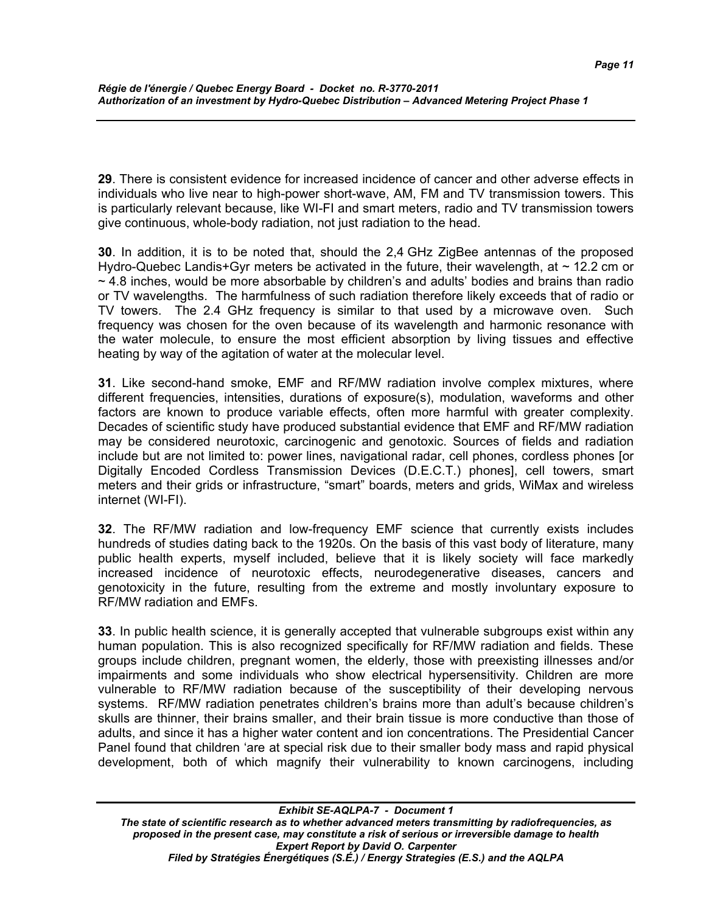**29**. There is consistent evidence for increased incidence of cancer and other adverse effects in individuals who live near to high-power short-wave, AM, FM and TV transmission towers. This is particularly relevant because, like WI-FI and smart meters, radio and TV transmission towers give continuous, whole-body radiation, not just radiation to the head.

**30**. In addition, it is to be noted that, should the 2,4 GHz ZigBee antennas of the proposed Hydro-Quebec Landis+Gyr meters be activated in the future, their wavelength, at  $\sim$  12.2 cm or  $\sim$  4.8 inches, would be more absorbable by children's and adults' bodies and brains than radio or TV wavelengths. The harmfulness of such radiation therefore likely exceeds that of radio or TV towers. The 2.4 GHz frequency is similar to that used by a microwave oven. Such frequency was chosen for the oven because of its wavelength and harmonic resonance with the water molecule, to ensure the most efficient absorption by living tissues and effective heating by way of the agitation of water at the molecular level.

**31**. Like second-hand smoke, EMF and RF/MW radiation involve complex mixtures, where different frequencies, intensities, durations of exposure(s), modulation, waveforms and other factors are known to produce variable effects, often more harmful with greater complexity. Decades of scientific study have produced substantial evidence that EMF and RF/MW radiation may be considered neurotoxic, carcinogenic and genotoxic. Sources of fields and radiation include but are not limited to: power lines, navigational radar, cell phones, cordless phones [or Digitally Encoded Cordless Transmission Devices (D.E.C.T.) phones], cell towers, smart meters and their grids or infrastructure, "smart" boards, meters and grids, WiMax and wireless internet (WI-FI).

**32**. The RF/MW radiation and low-frequency EMF science that currently exists includes hundreds of studies dating back to the 1920s. On the basis of this vast body of literature, many public health experts, myself included, believe that it is likely society will face markedly increased incidence of neurotoxic effects, neurodegenerative diseases, cancers and genotoxicity in the future, resulting from the extreme and mostly involuntary exposure to RF/MW radiation and EMFs.

**33**. In public health science, it is generally accepted that vulnerable subgroups exist within any human population. This is also recognized specifically for RF/MW radiation and fields. These groups include children, pregnant women, the elderly, those with preexisting illnesses and/or impairments and some individuals who show electrical hypersensitivity. Children are more vulnerable to RF/MW radiation because of the susceptibility of their developing nervous systems. RF/MW radiation penetrates children's brains more than adult's because children's skulls are thinner, their brains smaller, and their brain tissue is more conductive than those of adults, and since it has a higher water content and ion concentrations. The Presidential Cancer Panel found that children 'are at special risk due to their smaller body mass and rapid physical development, both of which magnify their vulnerability to known carcinogens, including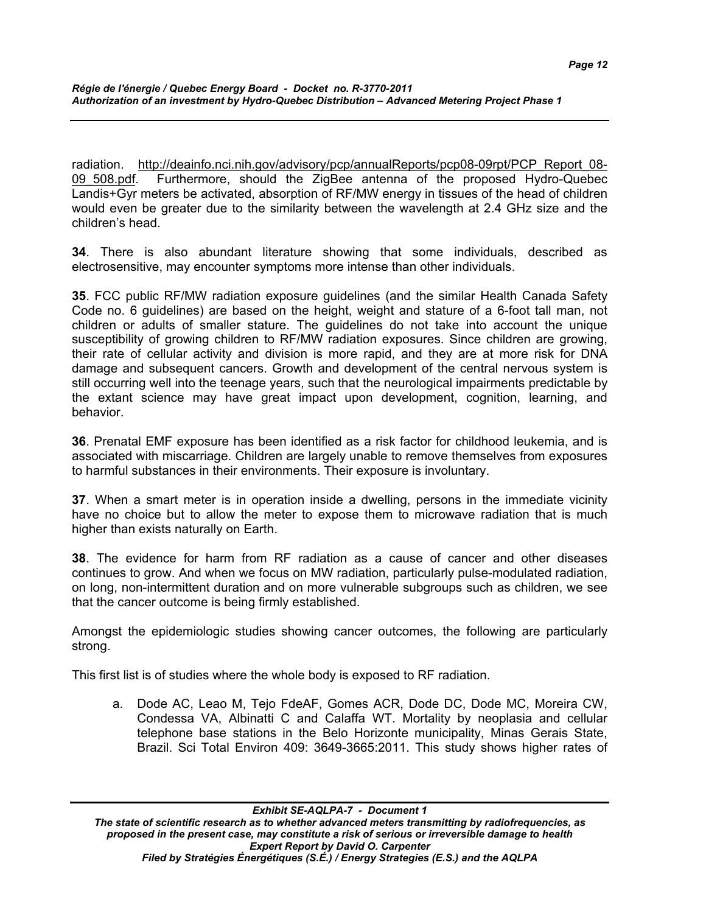radiation. http://deainfo.nci.nih.gov/advisory/pcp/annualReports/pcp08-09rpt/PCP\_Report\_08- 09 508.pdf. Furthermore, should the ZigBee antenna of the proposed Hydro-Quebec Landis+Gyr meters be activated, absorption of RF/MW energy in tissues of the head of children would even be greater due to the similarity between the wavelength at 2.4 GHz size and the children's head.

**34**. There is also abundant literature showing that some individuals, described as electrosensitive, may encounter symptoms more intense than other individuals.

**35**. FCC public RF/MW radiation exposure guidelines (and the similar Health Canada Safety Code no. 6 guidelines) are based on the height, weight and stature of a 6-foot tall man, not children or adults of smaller stature. The guidelines do not take into account the unique susceptibility of growing children to RF/MW radiation exposures. Since children are growing, their rate of cellular activity and division is more rapid, and they are at more risk for DNA damage and subsequent cancers. Growth and development of the central nervous system is still occurring well into the teenage years, such that the neurological impairments predictable by the extant science may have great impact upon development, cognition, learning, and behavior.

**36**. Prenatal EMF exposure has been identified as a risk factor for childhood leukemia, and is associated with miscarriage. Children are largely unable to remove themselves from exposures to harmful substances in their environments. Their exposure is involuntary.

**37**. When a smart meter is in operation inside a dwelling, persons in the immediate vicinity have no choice but to allow the meter to expose them to microwave radiation that is much higher than exists naturally on Earth.

**38**. The evidence for harm from RF radiation as a cause of cancer and other diseases continues to grow. And when we focus on MW radiation, particularly pulse-modulated radiation, on long, non-intermittent duration and on more vulnerable subgroups such as children, we see that the cancer outcome is being firmly established.

Amongst the epidemiologic studies showing cancer outcomes, the following are particularly strong.

This first list is of studies where the whole body is exposed to RF radiation.

a. Dode AC, Leao M, Tejo FdeAF, Gomes ACR, Dode DC, Dode MC, Moreira CW, Condessa VA, Albinatti C and Calaffa WT. Mortality by neoplasia and cellular telephone base stations in the Belo Horizonte municipality, Minas Gerais State, Brazil. Sci Total Environ 409: 3649-3665:2011. This study shows higher rates of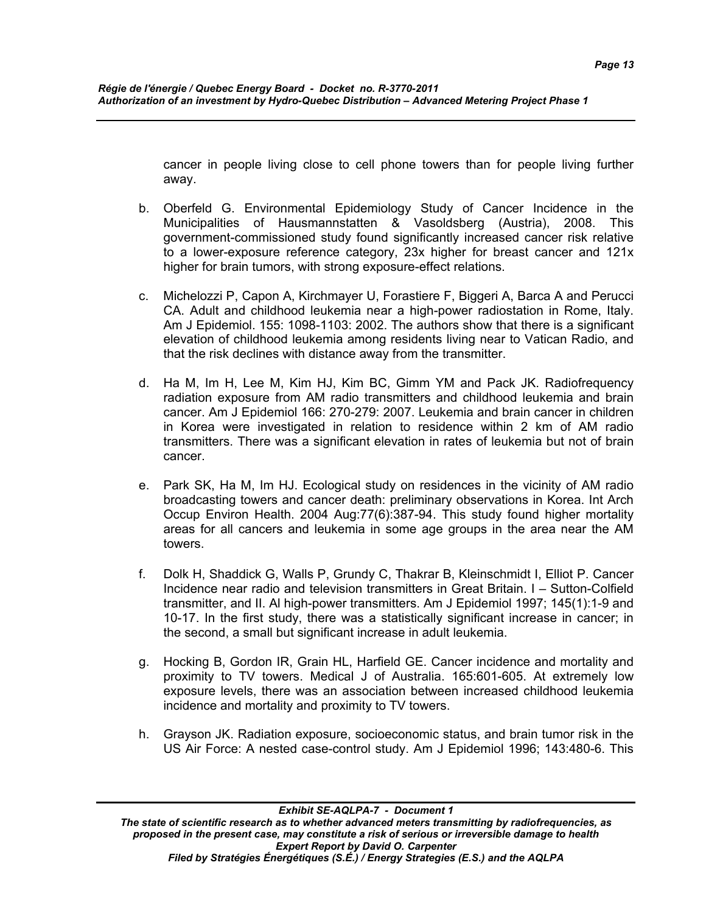cancer in people living close to cell phone towers than for people living further away.

- b. Oberfeld G. Environmental Epidemiology Study of Cancer Incidence in the Municipalities of Hausmannstatten & Vasoldsberg (Austria), 2008. This government-commissioned study found significantly increased cancer risk relative to a lower-exposure reference category, 23x higher for breast cancer and 121x higher for brain tumors, with strong exposure-effect relations.
- c. Michelozzi P, Capon A, Kirchmayer U, Forastiere F, Biggeri A, Barca A and Perucci CA. Adult and childhood leukemia near a high-power radiostation in Rome, Italy. Am J Epidemiol. 155: 1098-1103: 2002. The authors show that there is a significant elevation of childhood leukemia among residents living near to Vatican Radio, and that the risk declines with distance away from the transmitter.
- d. Ha M, Im H, Lee M, Kim HJ, Kim BC, Gimm YM and Pack JK. Radiofrequency radiation exposure from AM radio transmitters and childhood leukemia and brain cancer. Am J Epidemiol 166: 270-279: 2007. Leukemia and brain cancer in children in Korea were investigated in relation to residence within 2 km of AM radio transmitters. There was a significant elevation in rates of leukemia but not of brain cancer.
- e. Park SK, Ha M, Im HJ. Ecological study on residences in the vicinity of AM radio broadcasting towers and cancer death: preliminary observations in Korea. Int Arch Occup Environ Health. 2004 Aug:77(6):387-94. This study found higher mortality areas for all cancers and leukemia in some age groups in the area near the AM towers.
- f. Dolk H, Shaddick G, Walls P, Grundy C, Thakrar B, Kleinschmidt I, Elliot P. Cancer Incidence near radio and television transmitters in Great Britain. I - Sutton-Colfield transmitter, and II. Al high-power transmitters. Am J Epidemiol 1997; 145(1):1-9 and 10-17. In the first study, there was a statistically significant increase in cancer; in the second, a small but significant increase in adult leukemia.
- g. Hocking B, Gordon IR, Grain HL, Harfield GE. Cancer incidence and mortality and proximity to TV towers. Medical J of Australia. 165:601-605. At extremely low exposure levels, there was an association between increased childhood leukemia incidence and mortality and proximity to TV towers.
- h. Grayson JK. Radiation exposure, socioeconomic status, and brain tumor risk in the US Air Force: A nested case-control study. Am J Epidemiol 1996; 143:480-6. This

*Exhibit SE-AQLPA-7 - Document 1*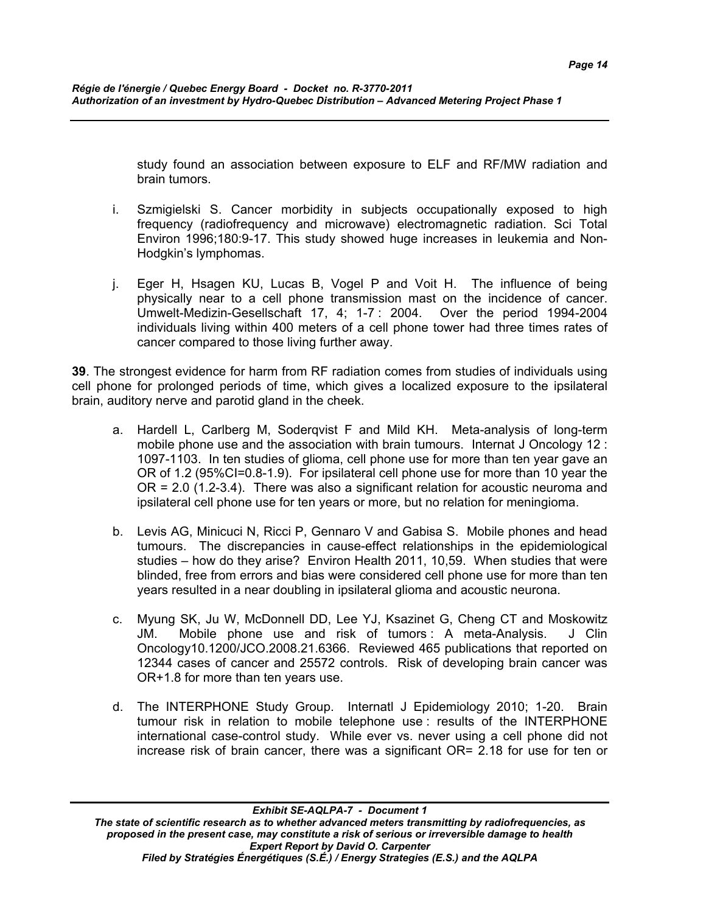study found an association between exposure to ELF and RF/MW radiation and brain tumors.

- i. Szmigielski S. Cancer morbidity in subjects occupationally exposed to high frequency (radiofrequency and microwave) electromagnetic radiation. Sci Total Environ 1996;180:9-17. This study showed huge increases in leukemia and Non-Hodgkin's lymphomas.
- j. Eger H, Hsagen KU, Lucas B, Vogel P and Voit H. The influence of being physically near to a cell phone transmission mast on the incidence of cancer. Umwelt-Medizin-Gesellschaft 17, 4; 1-7 : 2004. Over the period 1994-2004 individuals living within 400 meters of a cell phone tower had three times rates of cancer compared to those living further away.

**39**. The strongest evidence for harm from RF radiation comes from studies of individuals using cell phone for prolonged periods of time, which gives a localized exposure to the ipsilateral brain, auditory nerve and parotid gland in the cheek.

- a. Hardell L, Carlberg M, Soderqvist F and Mild KH. Meta-analysis of long-term mobile phone use and the association with brain tumours. Internat J Oncology 12 : 1097-1103. In ten studies of glioma, cell phone use for more than ten year gave an OR of 1.2 (95%CI=0.8-1.9). For ipsilateral cell phone use for more than 10 year the OR = 2.0 (1.2-3.4). There was also a significant relation for acoustic neuroma and ipsilateral cell phone use for ten years or more, but no relation for meningioma.
- b. Levis AG, Minicuci N, Ricci P, Gennaro V and Gabisa S. Mobile phones and head tumours. The discrepancies in cause-effect relationships in the epidemiological studies  $-$  how do they arise? Environ Health 2011, 10,59. When studies that were blinded, free from errors and bias were considered cell phone use for more than ten years resulted in a near doubling in ipsilateral glioma and acoustic neurona.
- c. Myung SK, Ju W, McDonnell DD, Lee YJ, Ksazinet G, Cheng CT and Moskowitz JM. Mobile phone use and risk of tumors : A meta-Analysis. J Clin Oncology10.1200/JCO.2008.21.6366. Reviewed 465 publications that reported on 12344 cases of cancer and 25572 controls. Risk of developing brain cancer was OR+1.8 for more than ten years use.
- d. The INTERPHONE Study Group. Internatl J Epidemiology 2010; 1-20. Brain tumour risk in relation to mobile telephone use : results of the INTERPHONE international case-control study. While ever vs. never using a cell phone did not increase risk of brain cancer, there was a significant OR= 2.18 for use for ten or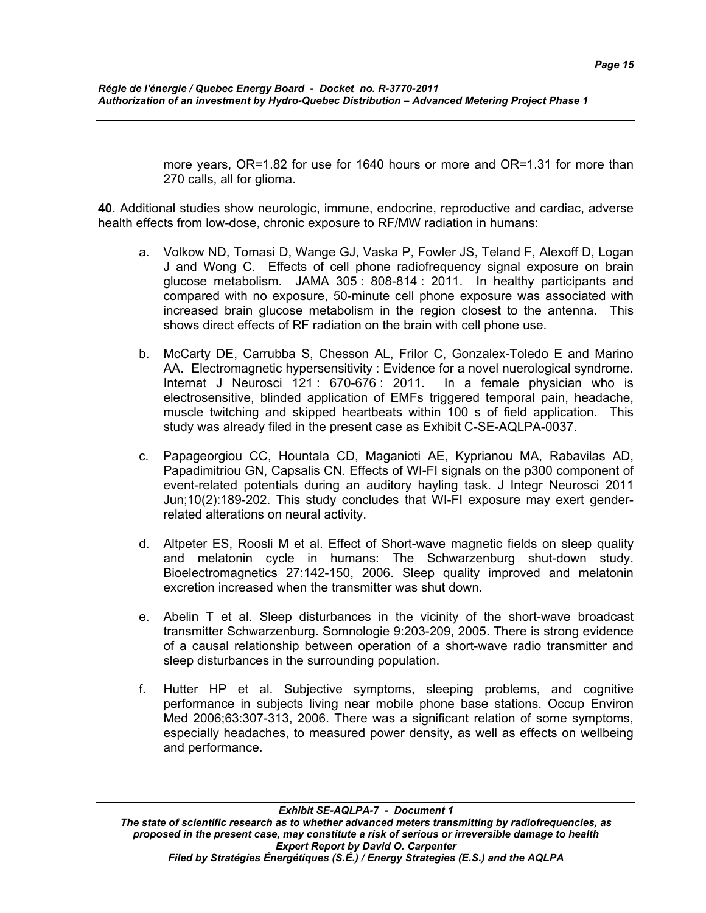more years, OR=1.82 for use for 1640 hours or more and OR=1.31 for more than 270 calls, all for glioma.

**40**. Additional studies show neurologic, immune, endocrine, reproductive and cardiac, adverse health effects from low-dose, chronic exposure to RF/MW radiation in humans:

- a. Volkow ND, Tomasi D, Wange GJ, Vaska P, Fowler JS, Teland F, Alexoff D, Logan J and Wong C. Effects of cell phone radiofrequency signal exposure on brain glucose metabolism. JAMA 305 : 808-814 : 2011. In healthy participants and compared with no exposure, 50-minute cell phone exposure was associated with increased brain glucose metabolism in the region closest to the antenna. This shows direct effects of RF radiation on the brain with cell phone use.
- b. McCarty DE, Carrubba S, Chesson AL, Frilor C, Gonzalex-Toledo E and Marino AA. Electromagnetic hypersensitivity : Evidence for a novel nuerological syndrome. Internat J Neurosci 121 : 670-676 : 2011. In a female physician who is electrosensitive, blinded application of EMFs triggered temporal pain, headache, muscle twitching and skipped heartbeats within 100 s of field application. This study was already filed in the present case as Exhibit C-SE-AQLPA-0037.
- c. Papageorgiou CC, Hountala CD, Maganioti AE, Kyprianou MA, Rabavilas AD, Papadimitriou GN, Capsalis CN. Effects of WI-FI signals on the p300 component of event-related potentials during an auditory hayling task. J Integr Neurosci 2011 Jun;10(2):189-202. This study concludes that WI-FI exposure may exert genderrelated alterations on neural activity.
- d. Altpeter ES, Roosli M et al. Effect of Short-wave magnetic fields on sleep quality and melatonin cycle in humans: The Schwarzenburg shut-down study. Bioelectromagnetics 27:142-150, 2006. Sleep quality improved and melatonin excretion increased when the transmitter was shut down.
- e. Abelin T et al. Sleep disturbances in the vicinity of the short-wave broadcast transmitter Schwarzenburg. Somnologie 9:203-209, 2005. There is strong evidence of a causal relationship between operation of a short-wave radio transmitter and sleep disturbances in the surrounding population.
- f. Hutter HP et al. Subjective symptoms, sleeping problems, and cognitive performance in subjects living near mobile phone base stations. Occup Environ Med 2006;63:307-313, 2006. There was a significant relation of some symptoms, especially headaches, to measured power density, as well as effects on wellbeing and performance.

*Exhibit SE-AQLPA-7 - Document 1* 

*The state of scientific research as to whether advanced meters transmitting by radiofrequencies, as proposed in the present case, may constitute a risk of serious or irreversible damage to health Expert Report by David O. Carpenter Filed by Stratégies Énergétiques (S.É.) / Energy Strategies (E.S.) and the AQLPA*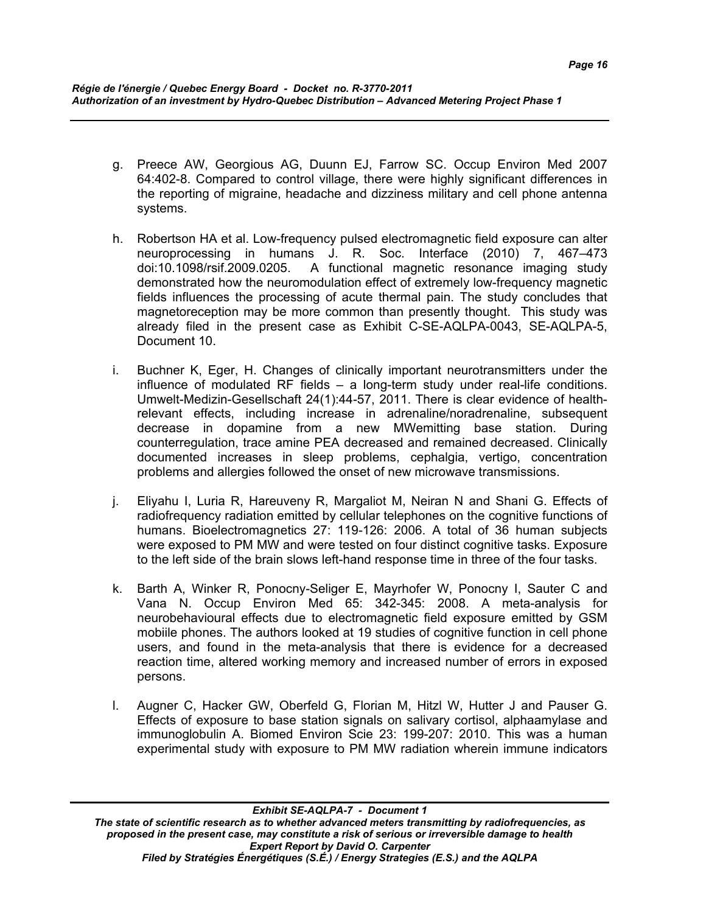- g. Preece AW, Georgious AG, Duunn EJ, Farrow SC. Occup Environ Med 2007 64:402-8. Compared to control village, there were highly significant differences in the reporting of migraine, headache and dizziness military and cell phone antenna systems.
- h. Robertson HA et al. Low-frequency pulsed electromagnetic field exposure can alter neuroprocessing in humans J. R. Soc. Interface (2010) 7, 467-473 doi:10.1098/rsif.2009.0205. A functional magnetic resonance imaging study demonstrated how the neuromodulation effect of extremely low-frequency magnetic fields influences the processing of acute thermal pain. The study concludes that magnetoreception may be more common than presently thought. This study was already filed in the present case as Exhibit C-SE-AQLPA-0043, SE-AQLPA-5, Document 10.
- i. Buchner K, Eger, H. Changes of clinically important neurotransmitters under the influence of modulated RF fields  $-$  a long-term study under real-life conditions. Umwelt-Medizin-Gesellschaft 24(1):44-57, 2011. There is clear evidence of healthrelevant effects, including increase in adrenaline/noradrenaline, subsequent decrease in dopamine from a new MWemitting base station. During counterregulation, trace amine PEA decreased and remained decreased. Clinically documented increases in sleep problems, cephalgia, vertigo, concentration problems and allergies followed the onset of new microwave transmissions.
- j. Eliyahu I, Luria R, Hareuveny R, Margaliot M, Neiran N and Shani G. Effects of radiofrequency radiation emitted by cellular telephones on the cognitive functions of humans. Bioelectromagnetics 27: 119-126: 2006. A total of 36 human subjects were exposed to PM MW and were tested on four distinct cognitive tasks. Exposure to the left side of the brain slows left-hand response time in three of the four tasks.
- k. Barth A, Winker R, Ponocny-Seliger E, Mayrhofer W, Ponocny I, Sauter C and Vana N. Occup Environ Med 65: 342-345: 2008. A meta-analysis for neurobehavioural effects due to electromagnetic field exposure emitted by GSM mobiile phones. The authors looked at 19 studies of cognitive function in cell phone users, and found in the meta-analysis that there is evidence for a decreased reaction time, altered working memory and increased number of errors in exposed persons.
- l. Augner C, Hacker GW, Oberfeld G, Florian M, Hitzl W, Hutter J and Pauser G. Effects of exposure to base station signals on salivary cortisol, alphaamylase and immunoglobulin A. Biomed Environ Scie 23: 199-207: 2010. This was a human experimental study with exposure to PM MW radiation wherein immune indicators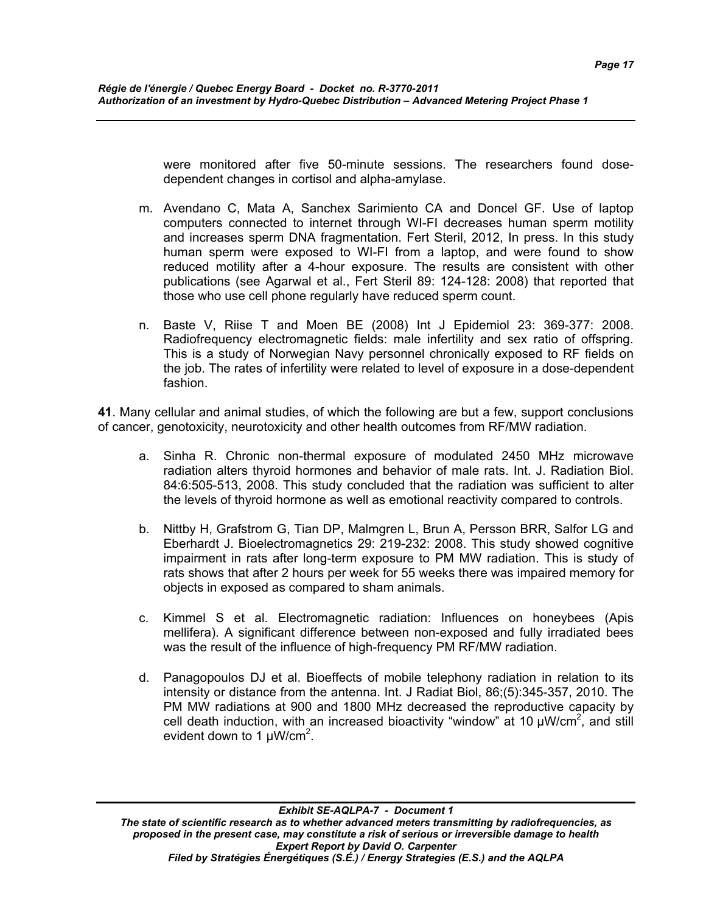were monitored after five 50-minute sessions. The researchers found dosedependent changes in cortisol and alpha-amylase.

- m. Avendano C, Mata A, Sanchex Sarimiento CA and Doncel GF. Use of laptop computers connected to internet through WI-FI decreases human sperm motility and increases sperm DNA fragmentation. Fert Steril, 2012, In press. In this study human sperm were exposed to WI-FI from a laptop, and were found to show reduced motility after a 4-hour exposure. The results are consistent with other publications (see Agarwal et al., Fert Steril 89: 124-128: 2008) that reported that those who use cell phone regularly have reduced sperm count.
- n. Baste V, Riise T and Moen BE (2008) Int J Epidemiol 23: 369-377: 2008. Radiofrequency electromagnetic fields: male infertility and sex ratio of offspring. This is a study of Norwegian Navy personnel chronically exposed to RF fields on the job. The rates of infertility were related to level of exposure in a dose-dependent fashion.

**41**. Many cellular and animal studies, of which the following are but a few, support conclusions of cancer, genotoxicity, neurotoxicity and other health outcomes from RF/MW radiation.

- a. Sinha R. Chronic non-thermal exposure of modulated 2450 MHz microwave radiation alters thyroid hormones and behavior of male rats. Int. J. Radiation Biol. 84:6:505-513, 2008. This study concluded that the radiation was sufficient to alter the levels of thyroid hormone as well as emotional reactivity compared to controls.
- b. Nittby H, Grafstrom G, Tian DP, Malmgren L, Brun A, Persson BRR, Salfor LG and Eberhardt J. Bioelectromagnetics 29: 219-232: 2008. This study showed cognitive impairment in rats after long-term exposure to PM MW radiation. This is study of rats shows that after 2 hours per week for 55 weeks there was impaired memory for objects in exposed as compared to sham animals.
- c. Kimmel S et al. Electromagnetic radiation: Influences on honeybees (Apis mellifera). A significant difference between non-exposed and fully irradiated bees was the result of the influence of high-frequency PM RF/MW radiation.
- d. Panagopoulos DJ et al. Bioeffects of mobile telephony radiation in relation to its intensity or distance from the antenna. Int. J Radiat Biol, 86;(5):345-357, 2010. The PM MW radiations at 900 and 1800 MHz decreased the reproductive capacity by cell death induction, with an increased bioactivity "window" at 10  $\mu$ W/cm<sup>2</sup>, and still evident down to 1  $\mu$ W/cm<sup>2</sup>.

*Exhibit SE-AQLPA-7 - Document 1*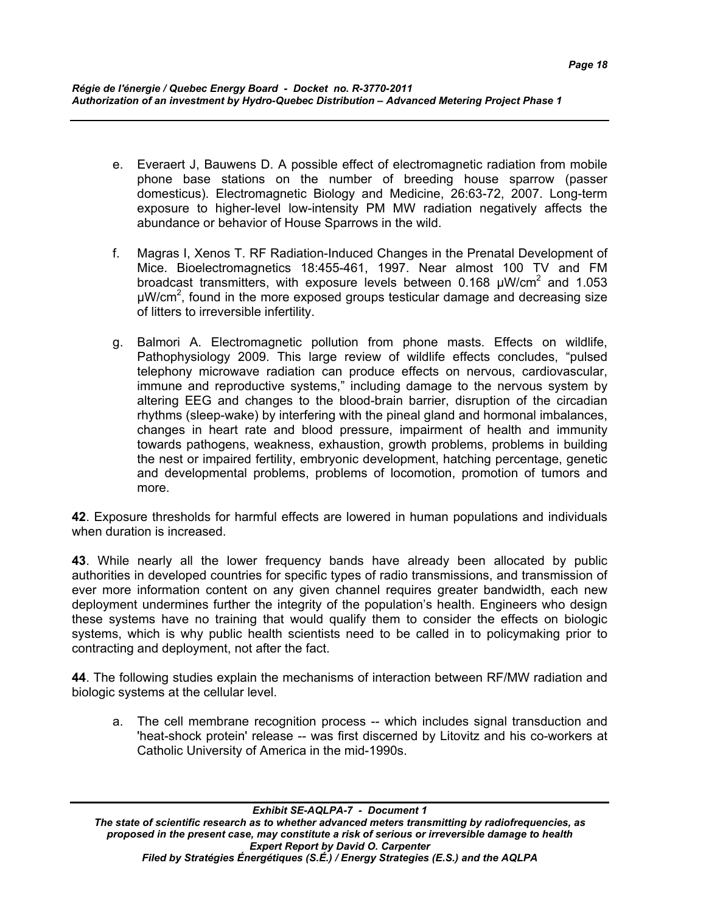- e. Everaert J, Bauwens D. A possible effect of electromagnetic radiation from mobile phone base stations on the number of breeding house sparrow (passer domesticus). Electromagnetic Biology and Medicine, 26:63-72, 2007. Long-term exposure to higher-level low-intensity PM MW radiation negatively affects the abundance or behavior of House Sparrows in the wild.
- f. Magras I, Xenos T. RF Radiation-Induced Changes in the Prenatal Development of Mice. Bioelectromagnetics 18:455-461, 1997. Near almost 100 TV and FM broadcast transmitters, with exposure levels between 0.168  $\mu$ W/cm<sup>2</sup> and 1.053  $\mu$ W/cm<sup>2</sup>, found in the more exposed groups testicular damage and decreasing size of litters to irreversible infertility.
- g. Balmori A. Electromagnetic pollution from phone masts. Effects on wildlife, Pathophysiology 2009. This large review of wildlife effects concludes, "pulsed telephony microwave radiation can produce effects on nervous, cardiovascular, immune and reproductive systems," including damage to the nervous system by altering EEG and changes to the blood-brain barrier, disruption of the circadian rhythms (sleep-wake) by interfering with the pineal gland and hormonal imbalances, changes in heart rate and blood pressure, impairment of health and immunity towards pathogens, weakness, exhaustion, growth problems, problems in building the nest or impaired fertility, embryonic development, hatching percentage, genetic and developmental problems, problems of locomotion, promotion of tumors and more.

**42**. Exposure thresholds for harmful effects are lowered in human populations and individuals when duration is increased.

**43**. While nearly all the lower frequency bands have already been allocated by public authorities in developed countries for specific types of radio transmissions, and transmission of ever more information content on any given channel requires greater bandwidth, each new deployment undermines further the integrity of the population's health. Engineers who design these systems have no training that would qualify them to consider the effects on biologic systems, which is why public health scientists need to be called in to policymaking prior to contracting and deployment, not after the fact.

**44**. The following studies explain the mechanisms of interaction between RF/MW radiation and biologic systems at the cellular level.

a. The cell membrane recognition process -- which includes signal transduction and 'heat-shock protein' release -- was first discerned by Litovitz and his co-workers at Catholic University of America in the mid-1990s.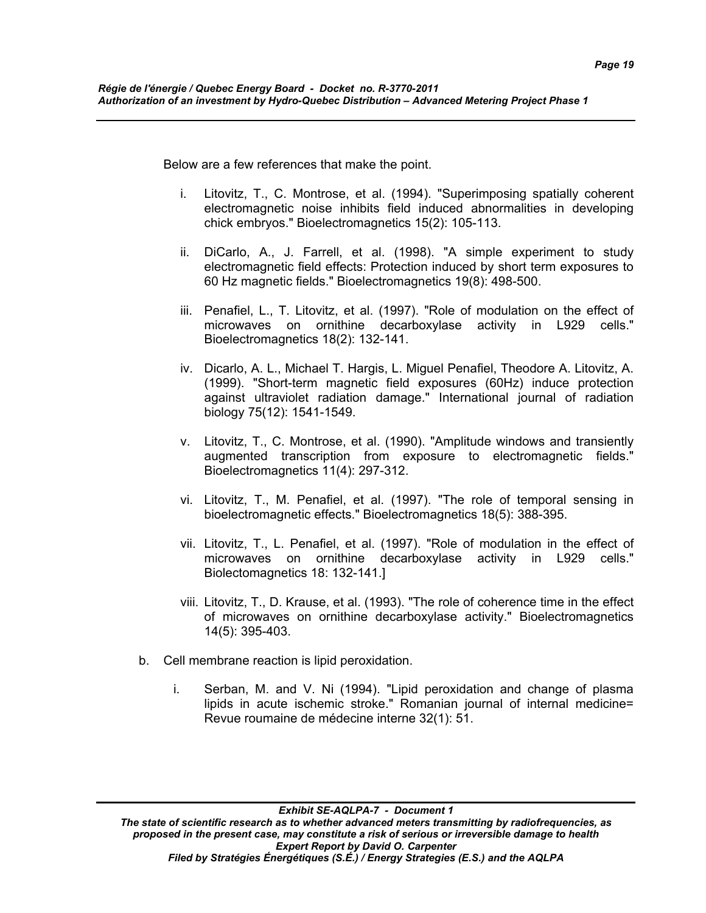Below are a few references that make the point.

- i. Litovitz, T., C. Montrose, et al. (1994). "Superimposing spatially coherent electromagnetic noise inhibits field induced abnormalities in developing chick embryos." Bioelectromagnetics 15(2): 105-113.
- ii. DiCarlo, A., J. Farrell, et al. (1998). "A simple experiment to study electromagnetic field effects: Protection induced by short term exposures to 60 Hz magnetic fields." Bioelectromagnetics 19(8): 498-500.
- iii. Penafiel, L., T. Litovitz, et al. (1997). "Role of modulation on the effect of microwaves on ornithine decarboxylase activity in L929 cells." Bioelectromagnetics 18(2): 132-141.
- iv. Dicarlo, A. L., Michael T. Hargis, L. Miguel Penafiel, Theodore A. Litovitz, A. (1999). "Short-term magnetic field exposures (60Hz) induce protection against ultraviolet radiation damage." International journal of radiation biology 75(12): 1541-1549.
- v. Litovitz, T., C. Montrose, et al. (1990). "Amplitude windows and transiently augmented transcription from exposure to electromagnetic fields." Bioelectromagnetics 11(4): 297-312.
- vi. Litovitz, T., M. Penafiel, et al. (1997). "The role of temporal sensing in bioelectromagnetic effects." Bioelectromagnetics 18(5): 388-395.
- vii. Litovitz, T., L. Penafiel, et al. (1997). "Role of modulation in the effect of microwaves on ornithine decarboxylase activity in L929 cells." Biolectomagnetics 18: 132-141.]
- viii. Litovitz, T., D. Krause, et al. (1993). "The role of coherence time in the effect of microwaves on ornithine decarboxylase activity." Bioelectromagnetics 14(5): 395-403.
- b. Cell membrane reaction is lipid peroxidation.
	- i. Serban, M. and V. Ni (1994). "Lipid peroxidation and change of plasma lipids in acute ischemic stroke." Romanian journal of internal medicine= Revue roumaine de médecine interne 32(1): 51.

*Exhibit SE-AQLPA-7 - Document 1*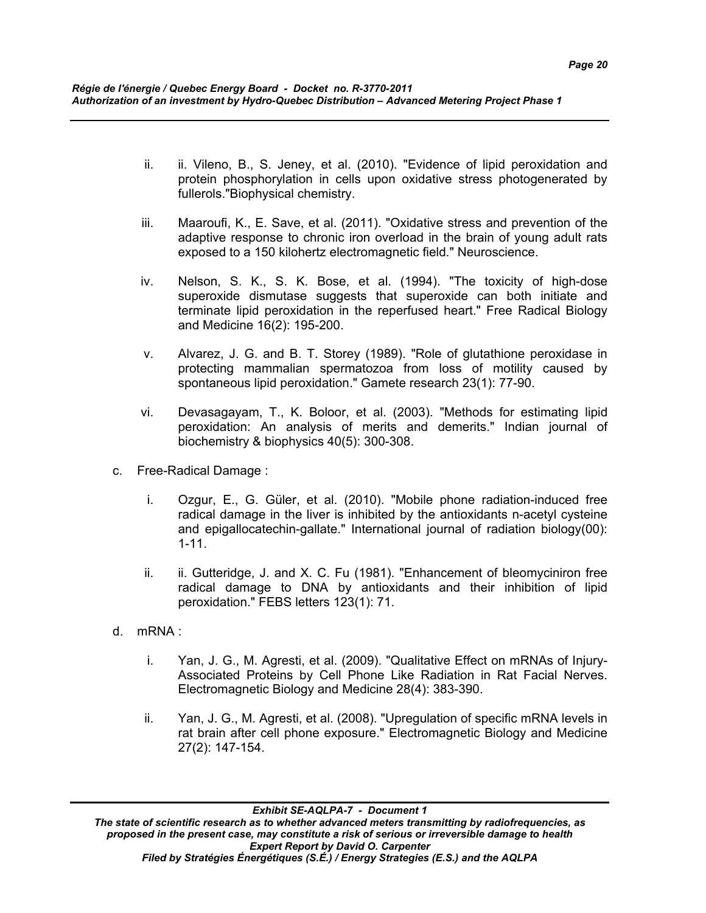- ii. ii. Vileno, B., S. Jeney, et al. (2010). "Evidence of lipid peroxidation and protein phosphorylation in cells upon oxidative stress photogenerated by fullerols."Biophysical chemistry.
- iii. Maaroufi, K., E. Save, et al. (2011). "Oxidative stress and prevention of the adaptive response to chronic iron overload in the brain of young adult rats exposed to a 150 kilohertz electromagnetic field." Neuroscience.
- iv. Nelson, S. K., S. K. Bose, et al. (1994). "The toxicity of high-dose superoxide dismutase suggests that superoxide can both initiate and terminate lipid peroxidation in the reperfused heart." Free Radical Biology and Medicine 16(2): 195-200.
- v. Alvarez, J. G. and B. T. Storey (1989). "Role of glutathione peroxidase in protecting mammalian spermatozoa from loss of motility caused by spontaneous lipid peroxidation." Gamete research 23(1): 77-90.
- vi. Devasagayam, T., K. Boloor, et al. (2003). "Methods for estimating lipid peroxidation: An analysis of merits and demerits." Indian journal of biochemistry & biophysics 40(5): 300-308.
- c. Free-Radical Damage :
	- i. Ozgur, E., G. Güler, et al. (2010). "Mobile phone radiation-induced free radical damage in the liver is inhibited by the antioxidants n-acetyl cysteine and epigallocatechin-gallate." International journal of radiation biology(00): 1-11.
	- ii. ii. Gutteridge, J. and X. C. Fu (1981). "Enhancement of bleomyciniron free radical damage to DNA by antioxidants and their inhibition of lipid peroxidation." FEBS letters 123(1): 71.
- d. mRNA :
	- i. Yan, J. G., M. Agresti, et al. (2009). "Qualitative Effect on mRNAs of Injury-Associated Proteins by Cell Phone Like Radiation in Rat Facial Nerves. Electromagnetic Biology and Medicine 28(4): 383-390.
	- ii. Yan, J. G., M. Agresti, et al. (2008). "Upregulation of specific mRNA levels in rat brain after cell phone exposure." Electromagnetic Biology and Medicine 27(2): 147-154.

*The state of scientific research as to whether advanced meters transmitting by radiofrequencies, as proposed in the present case, may constitute a risk of serious or irreversible damage to health Expert Report by David O. Carpenter Filed by Stratégies Énergétiques (S.É.) / Energy Strategies (E.S.) and the AQLPA*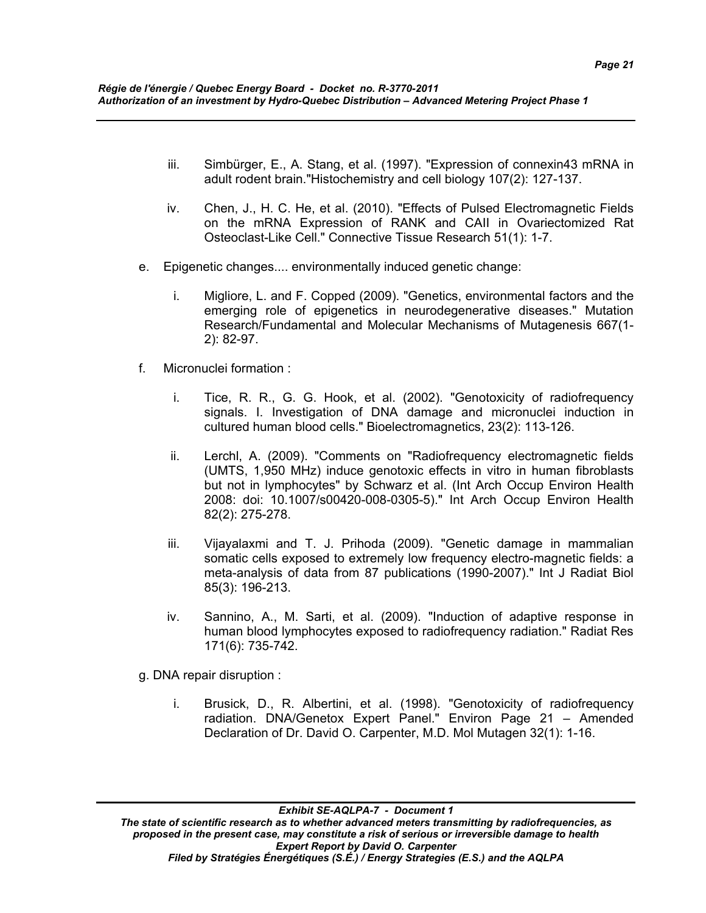- iii. Simbürger, E., A. Stang, et al. (1997). "Expression of connexin43 mRNA in adult rodent brain."Histochemistry and cell biology 107(2): 127-137.
- iv. Chen, J., H. C. He, et al. (2010). "Effects of Pulsed Electromagnetic Fields on the mRNA Expression of RANK and CAII in Ovariectomized Rat Osteoclast-Like Cell." Connective Tissue Research 51(1): 1-7.
- e. Epigenetic changes.... environmentally induced genetic change:
	- i. Migliore, L. and F. Copped (2009). "Genetics, environmental factors and the emerging role of epigenetics in neurodegenerative diseases." Mutation Research/Fundamental and Molecular Mechanisms of Mutagenesis 667(1- 2): 82-97.
- f. Micronuclei formation :
	- i. Tice, R. R., G. G. Hook, et al. (2002). "Genotoxicity of radiofrequency signals. I. Investigation of DNA damage and micronuclei induction in cultured human blood cells." Bioelectromagnetics, 23(2): 113-126.
	- ii. Lerchl, A. (2009). "Comments on "Radiofrequency electromagnetic fields (UMTS, 1,950 MHz) induce genotoxic effects in vitro in human fibroblasts but not in lymphocytes" by Schwarz et al. (Int Arch Occup Environ Health 2008: doi: 10.1007/s00420-008-0305-5)." Int Arch Occup Environ Health 82(2): 275-278.
	- iii. Vijayalaxmi and T. J. Prihoda (2009). "Genetic damage in mammalian somatic cells exposed to extremely low frequency electro-magnetic fields: a meta-analysis of data from 87 publications (1990-2007)." Int J Radiat Biol 85(3): 196-213.
	- iv. Sannino, A., M. Sarti, et al. (2009). "Induction of adaptive response in human blood lymphocytes exposed to radiofrequency radiation." Radiat Res 171(6): 735-742.

g. DNA repair disruption :

i. Brusick, D., R. Albertini, et al. (1998). "Genotoxicity of radiofrequency radiation. DNA/Genetox Expert Panel." Environ Page 21 - Amended Declaration of Dr. David O. Carpenter, M.D. Mol Mutagen 32(1): 1-16.

*Exhibit SE-AQLPA-7 - Document 1* 

*The state of scientific research as to whether advanced meters transmitting by radiofrequencies, as proposed in the present case, may constitute a risk of serious or irreversible damage to health Expert Report by David O. Carpenter Filed by Stratégies Énergétiques (S.É.) / Energy Strategies (E.S.) and the AQLPA*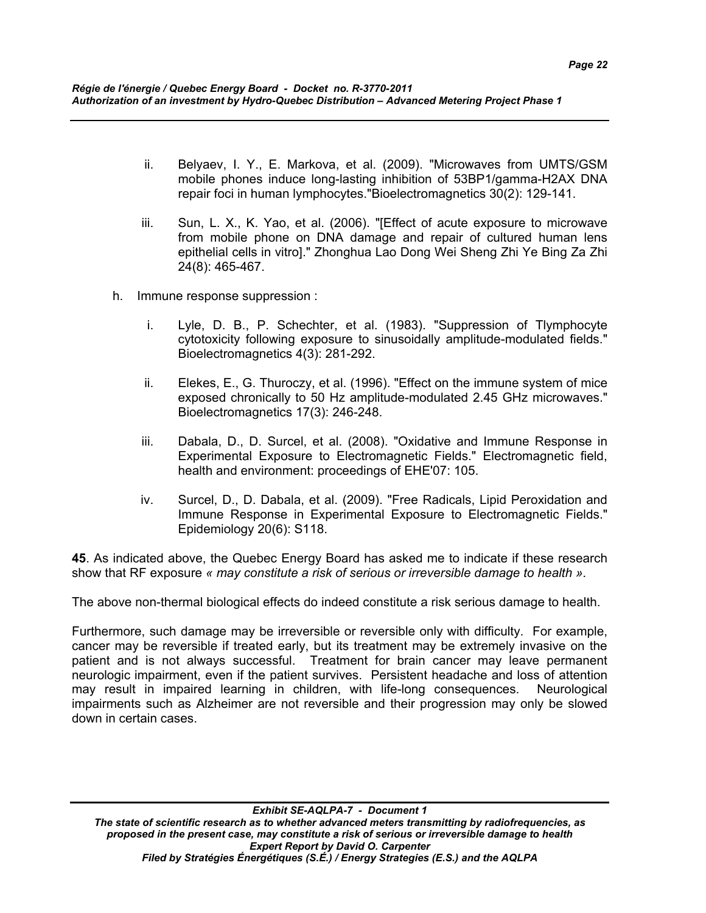- ii. Belyaev, I. Y., E. Markova, et al. (2009). "Microwaves from UMTS/GSM mobile phones induce long-lasting inhibition of 53BP1/gamma-H2AX DNA repair foci in human lymphocytes."Bioelectromagnetics 30(2): 129-141.
- iii. Sun, L. X., K. Yao, et al. (2006). "[Effect of acute exposure to microwave from mobile phone on DNA damage and repair of cultured human lens epithelial cells in vitro]." Zhonghua Lao Dong Wei Sheng Zhi Ye Bing Za Zhi 24(8): 465-467.
- h. Immune response suppression :
	- i. Lyle, D. B., P. Schechter, et al. (1983). "Suppression of Tlymphocyte cytotoxicity following exposure to sinusoidally amplitude-modulated fields." Bioelectromagnetics 4(3): 281-292.
	- ii. Elekes, E., G. Thuroczy, et al. (1996). "Effect on the immune system of mice exposed chronically to 50 Hz amplitude-modulated 2.45 GHz microwaves." Bioelectromagnetics 17(3): 246-248.
	- iii. Dabala, D., D. Surcel, et al. (2008). "Oxidative and Immune Response in Experimental Exposure to Electromagnetic Fields." Electromagnetic field, health and environment: proceedings of EHE'07: 105.
	- iv. Surcel, D., D. Dabala, et al. (2009). "Free Radicals, Lipid Peroxidation and Immune Response in Experimental Exposure to Electromagnetic Fields." Epidemiology 20(6): S118.

**45**. As indicated above, the Quebec Energy Board has asked me to indicate if these research show that RF exposure *« may constitute a risk of serious or irreversible damage to health »*.

The above non-thermal biological effects do indeed constitute a risk serious damage to health.

Furthermore, such damage may be irreversible or reversible only with difficulty. For example, cancer may be reversible if treated early, but its treatment may be extremely invasive on the patient and is not always successful. Treatment for brain cancer may leave permanent neurologic impairment, even if the patient survives. Persistent headache and loss of attention may result in impaired learning in children, with life-long consequences. Neurological impairments such as Alzheimer are not reversible and their progression may only be slowed down in certain cases.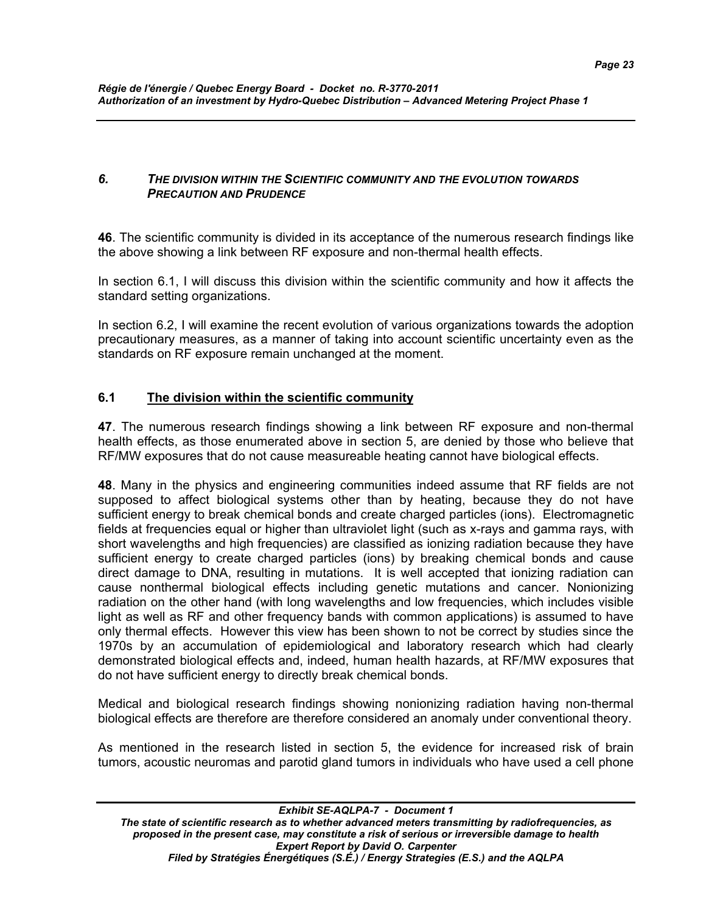#### *6. THE DIVISION WITHIN THE SCIENTIFIC COMMUNITY AND THE EVOLUTION TOWARDS PRECAUTION AND PRUDENCE*

**46**. The scientific community is divided in its acceptance of the numerous research findings like the above showing a link between RF exposure and non-thermal health effects.

In section 6.1, I will discuss this division within the scientific community and how it affects the standard setting organizations.

In section 6.2, I will examine the recent evolution of various organizations towards the adoption precautionary measures, as a manner of taking into account scientific uncertainty even as the standards on RF exposure remain unchanged at the moment.

## **6.1 The division within the scientific community**

**47**. The numerous research findings showing a link between RF exposure and non-thermal health effects, as those enumerated above in section 5, are denied by those who believe that RF/MW exposures that do not cause measureable heating cannot have biological effects.

**48**. Many in the physics and engineering communities indeed assume that RF fields are not supposed to affect biological systems other than by heating, because they do not have sufficient energy to break chemical bonds and create charged particles (ions). Electromagnetic fields at frequencies equal or higher than ultraviolet light (such as x-rays and gamma rays, with short wavelengths and high frequencies) are classified as ionizing radiation because they have sufficient energy to create charged particles (ions) by breaking chemical bonds and cause direct damage to DNA, resulting in mutations. It is well accepted that ionizing radiation can cause nonthermal biological effects including genetic mutations and cancer. Nonionizing radiation on the other hand (with long wavelengths and low frequencies, which includes visible light as well as RF and other frequency bands with common applications) is assumed to have only thermal effects. However this view has been shown to not be correct by studies since the 1970s by an accumulation of epidemiological and laboratory research which had clearly demonstrated biological effects and, indeed, human health hazards, at RF/MW exposures that do not have sufficient energy to directly break chemical bonds.

Medical and biological research findings showing nonionizing radiation having non-thermal biological effects are therefore are therefore considered an anomaly under conventional theory.

As mentioned in the research listed in section 5, the evidence for increased risk of brain tumors, acoustic neuromas and parotid gland tumors in individuals who have used a cell phone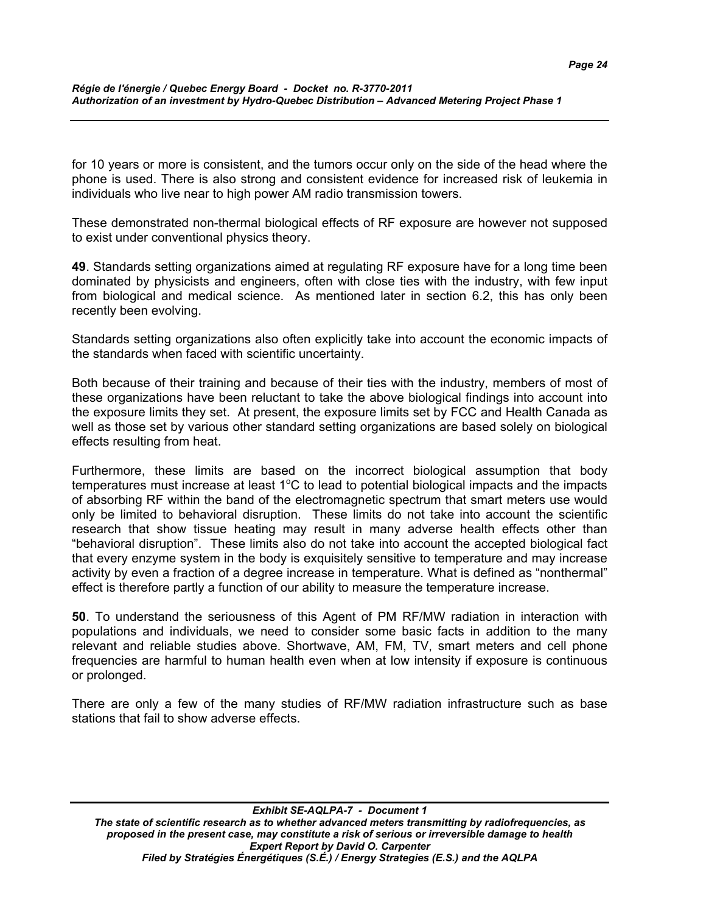for 10 years or more is consistent, and the tumors occur only on the side of the head where the phone is used. There is also strong and consistent evidence for increased risk of leukemia in individuals who live near to high power AM radio transmission towers.

These demonstrated non-thermal biological effects of RF exposure are however not supposed to exist under conventional physics theory.

**49**. Standards setting organizations aimed at regulating RF exposure have for a long time been dominated by physicists and engineers, often with close ties with the industry, with few input from biological and medical science. As mentioned later in section 6.2, this has only been recently been evolving.

Standards setting organizations also often explicitly take into account the economic impacts of the standards when faced with scientific uncertainty.

Both because of their training and because of their ties with the industry, members of most of these organizations have been reluctant to take the above biological findings into account into the exposure limits they set. At present, the exposure limits set by FCC and Health Canada as well as those set by various other standard setting organizations are based solely on biological effects resulting from heat.

Furthermore, these limits are based on the incorrect biological assumption that body temperatures must increase at least  $1^{\circ}$ C to lead to potential biological impacts and the impacts of absorbing RF within the band of the electromagnetic spectrum that smart meters use would only be limited to behavioral disruption. These limits do not take into account the scientific research that show tissue heating may result in many adverse health effects other than "behavioral disruption". These limits also do not take into account the accepted biological fact that every enzyme system in the body is exquisitely sensitive to temperature and may increase activity by even a fraction of a degree increase in temperature. What is defined as "nonthermal" effect is therefore partly a function of our ability to measure the temperature increase.

**50**. To understand the seriousness of this Agent of PM RF/MW radiation in interaction with populations and individuals, we need to consider some basic facts in addition to the many relevant and reliable studies above. Shortwave, AM, FM, TV, smart meters and cell phone frequencies are harmful to human health even when at low intensity if exposure is continuous or prolonged.

There are only a few of the many studies of RF/MW radiation infrastructure such as base stations that fail to show adverse effects.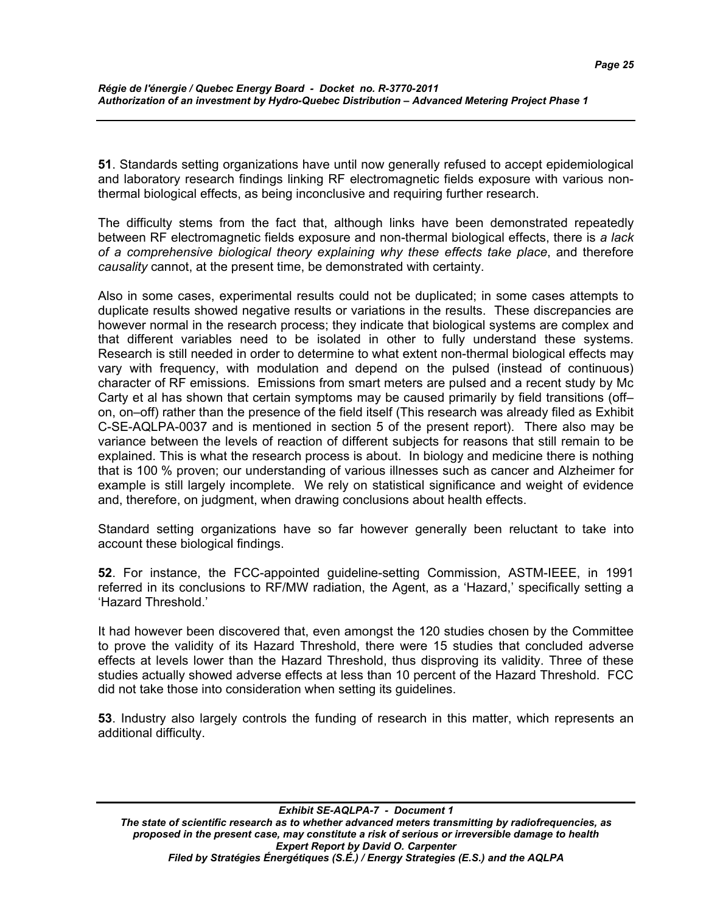**51**. Standards setting organizations have until now generally refused to accept epidemiological and laboratory research findings linking RF electromagnetic fields exposure with various nonthermal biological effects, as being inconclusive and requiring further research.

The difficulty stems from the fact that, although links have been demonstrated repeatedly between RF electromagnetic fields exposure and non-thermal biological effects, there is *a lack of a comprehensive biological theory explaining why these effects take place*, and therefore *causality* cannot, at the present time, be demonstrated with certainty.

Also in some cases, experimental results could not be duplicated; in some cases attempts to duplicate results showed negative results or variations in the results. These discrepancies are however normal in the research process; they indicate that biological systems are complex and that different variables need to be isolated in other to fully understand these systems. Research is still needed in order to determine to what extent non-thermal biological effects may vary with frequency, with modulation and depend on the pulsed (instead of continuous) character of RF emissions. Emissions from smart meters are pulsed and a recent study by Mc Carty et al has shown that certain symptoms may be caused primarily by field transitions (offon, on–off) rather than the presence of the field itself (This research was already filed as Exhibit C-SE-AQLPA-0037 and is mentioned in section 5 of the present report). There also may be variance between the levels of reaction of different subjects for reasons that still remain to be explained. This is what the research process is about. In biology and medicine there is nothing that is 100 % proven; our understanding of various illnesses such as cancer and Alzheimer for example is still largely incomplete. We rely on statistical significance and weight of evidence and, therefore, on judgment, when drawing conclusions about health effects.

Standard setting organizations have so far however generally been reluctant to take into account these biological findings.

**52**. For instance, the FCC-appointed guideline-setting Commission, ASTM-IEEE, in 1991 referred in its conclusions to RF/MW radiation, the Agent, as a 'Hazard,' specifically setting a 'Hazard Threshold.'

It had however been discovered that, even amongst the 120 studies chosen by the Committee to prove the validity of its Hazard Threshold, there were 15 studies that concluded adverse effects at levels lower than the Hazard Threshold, thus disproving its validity. Three of these studies actually showed adverse effects at less than 10 percent of the Hazard Threshold. FCC did not take those into consideration when setting its guidelines.

**53**. Industry also largely controls the funding of research in this matter, which represents an additional difficulty.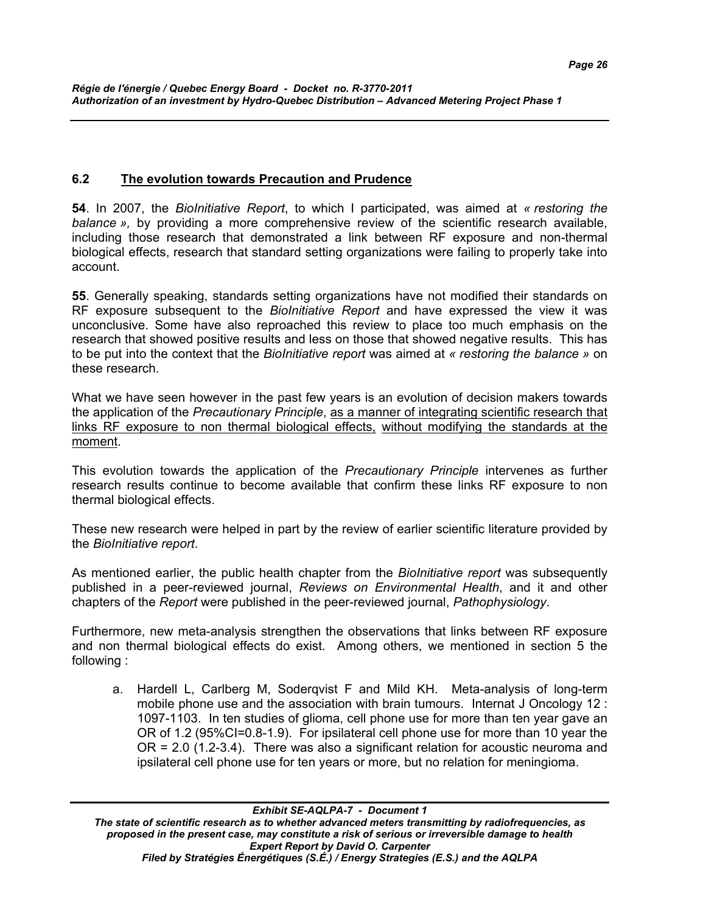### **6.2 The evolution towards Precaution and Prudence**

**54**. In 2007, the *BioInitiative Report*, to which I participated, was aimed at *« restoring the balance »,* by providing a more comprehensive review of the scientific research available, including those research that demonstrated a link between RF exposure and non-thermal biological effects, research that standard setting organizations were failing to properly take into account.

**55**. Generally speaking, standards setting organizations have not modified their standards on RF exposure subsequent to the *BioInitiative Report* and have expressed the view it was unconclusive. Some have also reproached this review to place too much emphasis on the research that showed positive results and less on those that showed negative results. This has to be put into the context that the *BioInitiative report* was aimed at *« restoring the balance »* on these research.

What we have seen however in the past few years is an evolution of decision makers towards the application of the *Precautionary Principle*, as a manner of integrating scientific research that links RF exposure to non thermal biological effects, without modifying the standards at the moment.

This evolution towards the application of the *Precautionary Principle* intervenes as further research results continue to become available that confirm these links RF exposure to non thermal biological effects.

These new research were helped in part by the review of earlier scientific literature provided by the *BioInitiative report*.

As mentioned earlier, the public health chapter from the *BioInitiative report* was subsequently published in a peer-reviewed journal, *Reviews on Environmental Health*, and it and other chapters of the *Report* were published in the peer-reviewed journal, *Pathophysiology*.

Furthermore, new meta-analysis strengthen the observations that links between RF exposure and non thermal biological effects do exist. Among others, we mentioned in section 5 the following :

a. Hardell L, Carlberg M, Soderqvist F and Mild KH. Meta-analysis of long-term mobile phone use and the association with brain tumours. Internat J Oncology 12 : 1097-1103. In ten studies of glioma, cell phone use for more than ten year gave an OR of 1.2 (95%CI=0.8-1.9). For ipsilateral cell phone use for more than 10 year the OR = 2.0 (1.2-3.4). There was also a significant relation for acoustic neuroma and ipsilateral cell phone use for ten years or more, but no relation for meningioma.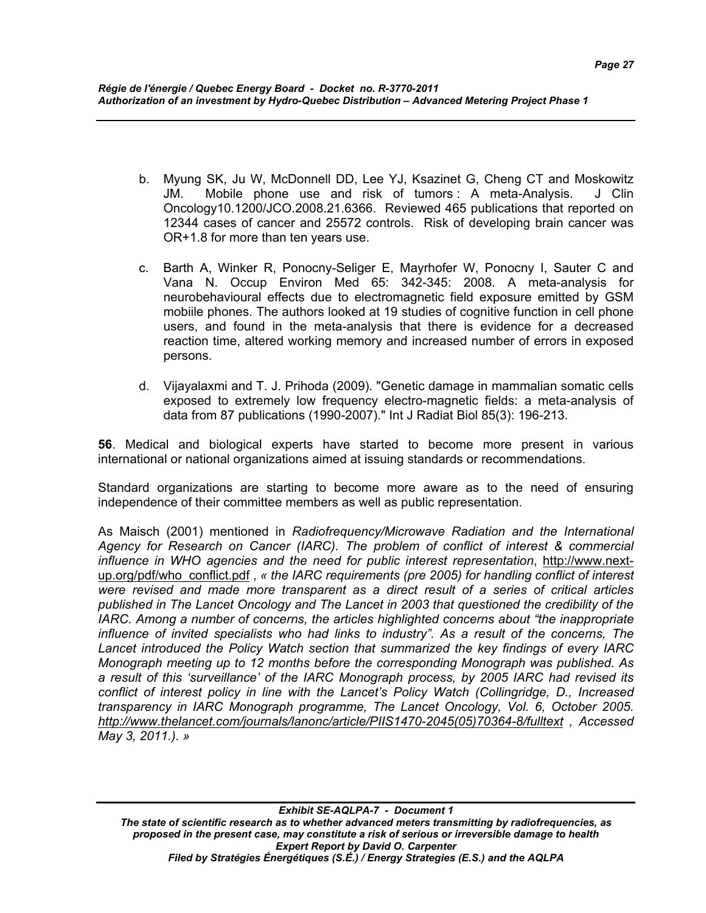- b. Myung SK, Ju W, McDonnell DD, Lee YJ, Ksazinet G, Cheng CT and Moskowitz JM. Mobile phone use and risk of tumors : A meta-Analysis. J Clin Oncology10.1200/JCO.2008.21.6366. Reviewed 465 publications that reported on 12344 cases of cancer and 25572 controls. Risk of developing brain cancer was OR+1.8 for more than ten years use.
- c. Barth A, Winker R, Ponocny-Seliger E, Mayrhofer W, Ponocny I, Sauter C and Vana N. Occup Environ Med 65: 342-345: 2008. A meta-analysis for neurobehavioural effects due to electromagnetic field exposure emitted by GSM mobiile phones. The authors looked at 19 studies of cognitive function in cell phone users, and found in the meta-analysis that there is evidence for a decreased reaction time, altered working memory and increased number of errors in exposed persons.
- d. Vijayalaxmi and T. J. Prihoda (2009). "Genetic damage in mammalian somatic cells exposed to extremely low frequency electro-magnetic fields: a meta-analysis of data from 87 publications (1990-2007)." Int J Radiat Biol 85(3): 196-213.

**56**. Medical and biological experts have started to become more present in various international or national organizations aimed at issuing standards or recommendations.

Standard organizations are starting to become more aware as to the need of ensuring independence of their committee members as well as public representation.

As Maisch (2001) mentioned in *Radiofrequency/Microwave Radiation and the International Agency for Research on Cancer (IARC). The problem of conflict of interest & commercial influence in WHO agencies and the need for public interest representation*, http://www.nextup.org/pdf/who\_conflict.pdf , *« the IARC requirements (pre 2005) for handling conflict of interest were revised and made more transparent as a direct result of a series of critical articles published in The Lancet Oncology and The Lancet in 2003 that questioned the credibility of the IARC. Among a number of concerns, the articles highlighted concerns about "the inappropriate influence of invited specialists who had links to industry". As a result of the concerns, The Lancet introduced the Policy Watch section that summarized the key findings of every IARC Monograph meeting up to 12 months before the corresponding Monograph was published. As a result of this 'surveillance' of the IARC Monograph process, by 2005 IARC had revised its conflict of interest policy in line with the Lancet's Policy Watch (Collingridge, D., Increased transparency in IARC Monograph programme, The Lancet Oncology, Vol. 6, October 2005. http://www.thelancet.com/journals/lanonc/article/PIIS1470-2045(05)70364-8/fulltext , Accessed May 3, 2011.). »*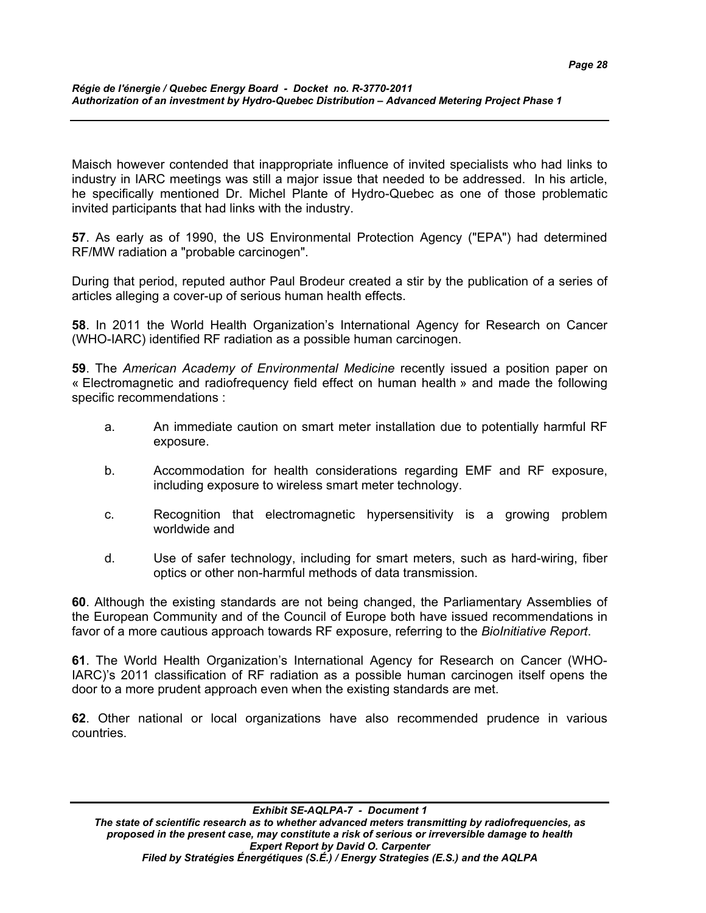Maisch however contended that inappropriate influence of invited specialists who had links to industry in IARC meetings was still a major issue that needed to be addressed. In his article, he specifically mentioned Dr. Michel Plante of Hydro-Quebec as one of those problematic invited participants that had links with the industry.

**57**. As early as of 1990, the US Environmental Protection Agency ("EPA") had determined RF/MW radiation a "probable carcinogen".

During that period, reputed author Paul Brodeur created a stir by the publication of a series of articles alleging a cover-up of serious human health effects.

**58**. In 2011 the World Health Organization's International Agency for Research on Cancer (WHO-IARC) identified RF radiation as a possible human carcinogen.

**59**. The *American Academy of Environmental Medicine* recently issued a position paper on « Electromagnetic and radiofrequency field effect on human health » and made the following specific recommendations :

- a. An immediate caution on smart meter installation due to potentially harmful RF exposure.
- b. Accommodation for health considerations regarding EMF and RF exposure, including exposure to wireless smart meter technology.
- c. Recognition that electromagnetic hypersensitivity is a growing problem worldwide and
- d. Use of safer technology, including for smart meters, such as hard-wiring, fiber optics or other non-harmful methods of data transmission.

**60**. Although the existing standards are not being changed, the Parliamentary Assemblies of the European Community and of the Council of Europe both have issued recommendations in favor of a more cautious approach towards RF exposure, referring to the *BioInitiative Report*.

61. The World Health Organization's International Agency for Research on Cancer (WHO-IARC)'s 2011 classification of RF radiation as a possible human carcinogen itself opens the door to a more prudent approach even when the existing standards are met.

**62**. Other national or local organizations have also recommended prudence in various countries.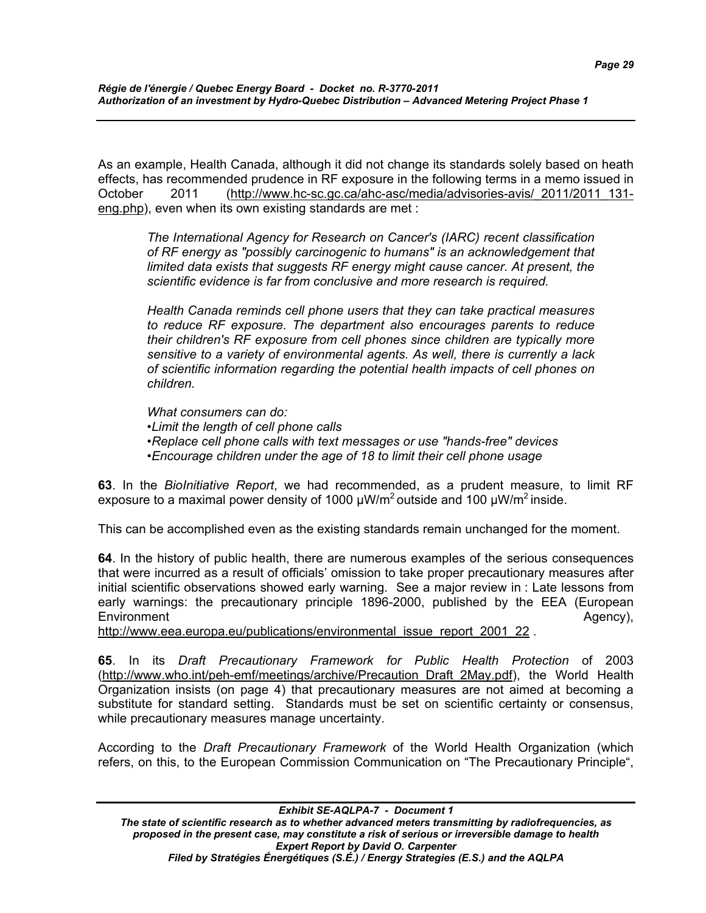As an example, Health Canada, although it did not change its standards solely based on heath effects, has recommended prudence in RF exposure in the following terms in a memo issued in October 2011 (http://www.hc-sc.gc.ca/ahc-asc/media/advisories-avis/\_2011/2011\_131 eng.php), even when its own existing standards are met :

*The International Agency for Research on Cancer's (IARC) recent classification of RF energy as "possibly carcinogenic to humans" is an acknowledgement that limited data exists that suggests RF energy might cause cancer. At present, the scientific evidence is far from conclusive and more research is required.* 

*Health Canada reminds cell phone users that they can take practical measures to reduce RF exposure. The department also encourages parents to reduce their children's RF exposure from cell phones since children are typically more sensitive to a variety of environmental agents. As well, there is currently a lack of scientific information regarding the potential health impacts of cell phones on children.* 

*What consumers can do: •Limit the length of cell phone calls •Replace cell phone calls with text messages or use "hands-free" devices •Encourage children under the age of 18 to limit their cell phone usage* 

**63**. In the *BioInitiative Report*, we had recommended, as a prudent measure, to limit RF exposure to a maximal power density of 1000  $\mu$ W/m<sup>2</sup> outside and 100  $\mu$ W/m<sup>2</sup> inside.

This can be accomplished even as the existing standards remain unchanged for the moment.

**64**. In the history of public health, there are numerous examples of the serious consequences that were incurred as a result of officials' omission to take proper precautionary measures after initial scientific observations showed early warning. See a major review in : Late lessons from early warnings: the precautionary principle 1896-2000, published by the EEA (European Environment Agency), and Agency and Agency and Agency and Agency and Agency and Agency and Agency and Agency and Agency and Agency and Agency and Agency and Agency and Agency and Agency and Agency and Agency and Agency and

http://www.eea.europa.eu/publications/environmental\_issue\_report\_2001\_22.

**65**. In its *Draft Precautionary Framework for Public Health Protection* of 2003 (http://www.who.int/peh-emf/meetings/archive/Precaution\_Draft\_2May.pdf), the World Health Organization insists (on page 4) that precautionary measures are not aimed at becoming a substitute for standard setting. Standards must be set on scientific certainty or consensus, while precautionary measures manage uncertainty.

According to the *Draft Precautionary Framework* of the World Health Organization (which refers, on this, to the European Commission Communication on "The Precautionary Principle",

*Exhibit SE-AQLPA-7 - Document 1*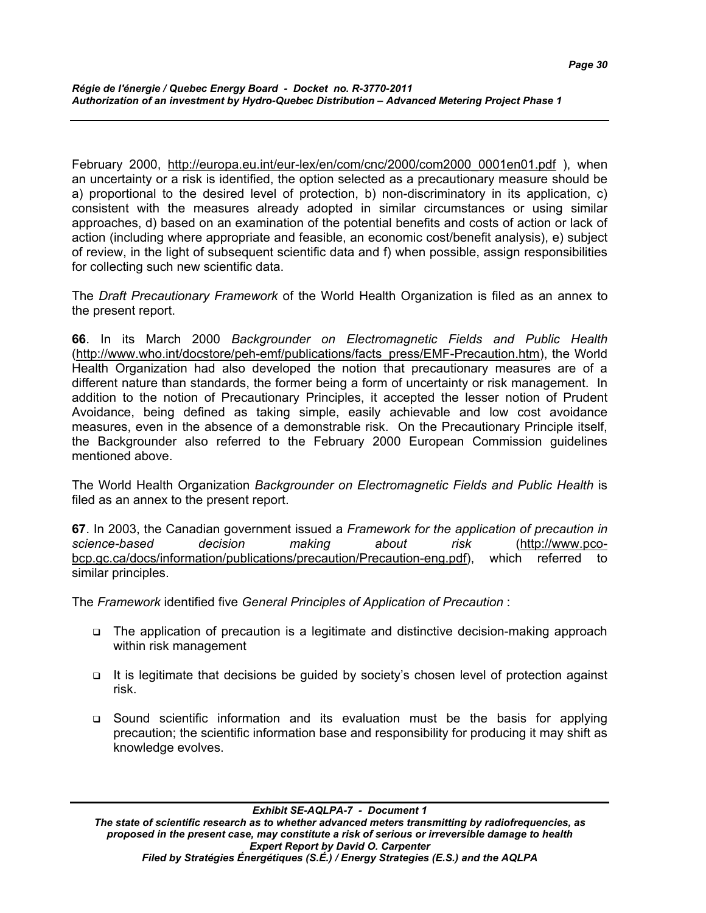February 2000, http://europa.eu.int/eur-lex/en/com/cnc/2000/com2000\_0001en01.pdf ), when an uncertainty or a risk is identified, the option selected as a precautionary measure should be a) proportional to the desired level of protection, b) non-discriminatory in its application, c) consistent with the measures already adopted in similar circumstances or using similar approaches, d) based on an examination of the potential benefits and costs of action or lack of action (including where appropriate and feasible, an economic cost/benefit analysis), e) subject of review, in the light of subsequent scientific data and f) when possible, assign responsibilities for collecting such new scientific data.

The *Draft Precautionary Framework* of the World Health Organization is filed as an annex to the present report.

**66**. In its March 2000 *Backgrounder on Electromagnetic Fields and Public Health* (http://www.who.int/docstore/peh-emf/publications/facts\_press/EMF-Precaution.htm), the World Health Organization had also developed the notion that precautionary measures are of a different nature than standards, the former being a form of uncertainty or risk management. In addition to the notion of Precautionary Principles, it accepted the lesser notion of Prudent Avoidance, being defined as taking simple, easily achievable and low cost avoidance measures, even in the absence of a demonstrable risk. On the Precautionary Principle itself, the Backgrounder also referred to the February 2000 European Commission guidelines mentioned above.

The World Health Organization *Backgrounder on Electromagnetic Fields and Public Health* is filed as an annex to the present report.

**67**. In 2003, the Canadian government issued a *Framework for the application of precaution in science-based decision making about risk* (http://www.pcobcp.gc.ca/docs/information/publications/precaution/Precaution-eng.pdf), which referred to similar principles.

The *Framework* identified five *General Principles of Application of Precaution* :

- The application of precaution is a legitimate and distinctive decision-making approach within risk management
- It is legitimate that decisions be guided by societyis chosen level of protection against risk.
- Sound scientific information and its evaluation must be the basis for applying precaution; the scientific information base and responsibility for producing it may shift as knowledge evolves.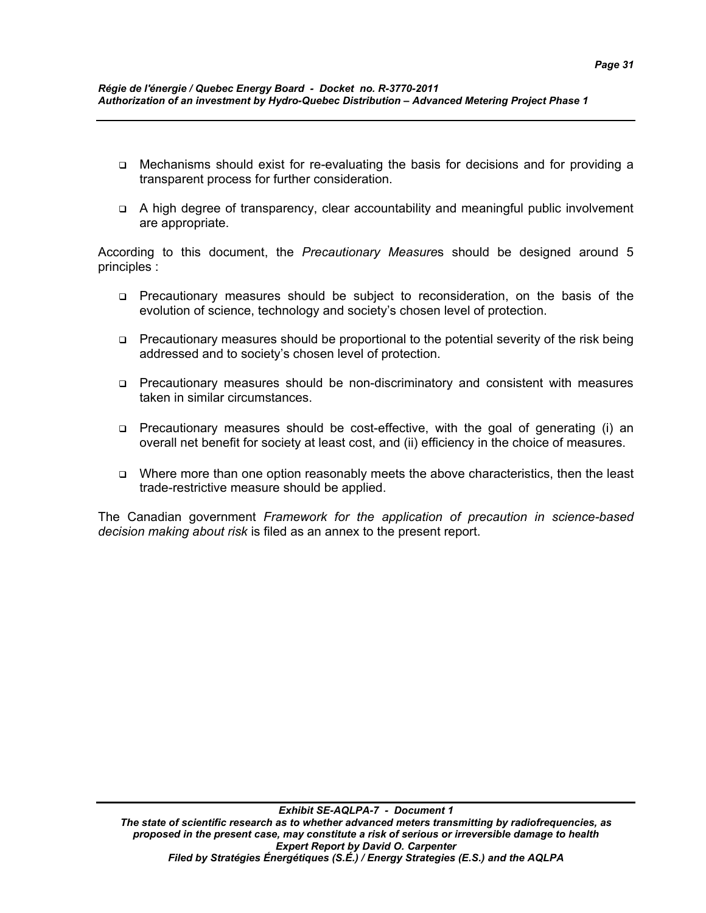- Mechanisms should exist for re-evaluating the basis for decisions and for providing a transparent process for further consideration.
- A high degree of transparency, clear accountability and meaningful public involvement are appropriate.

According to this document, the *Precautionary Measure*s should be designed around 5 principles :

- Precautionary measures should be subject to reconsideration, on the basis of the evolution of science, technology and society's chosen level of protection.
- Precautionary measures should be proportional to the potential severity of the risk being addressed and to society's chosen level of protection.
- Precautionary measures should be non-discriminatory and consistent with measures taken in similar circumstances.
- Precautionary measures should be cost-effective, with the goal of generating (i) an overall net benefit for society at least cost, and (ii) efficiency in the choice of measures.
- Where more than one option reasonably meets the above characteristics, then the least trade-restrictive measure should be applied.

The Canadian government *Framework for the application of precaution in science-based decision making about risk* is filed as an annex to the present report.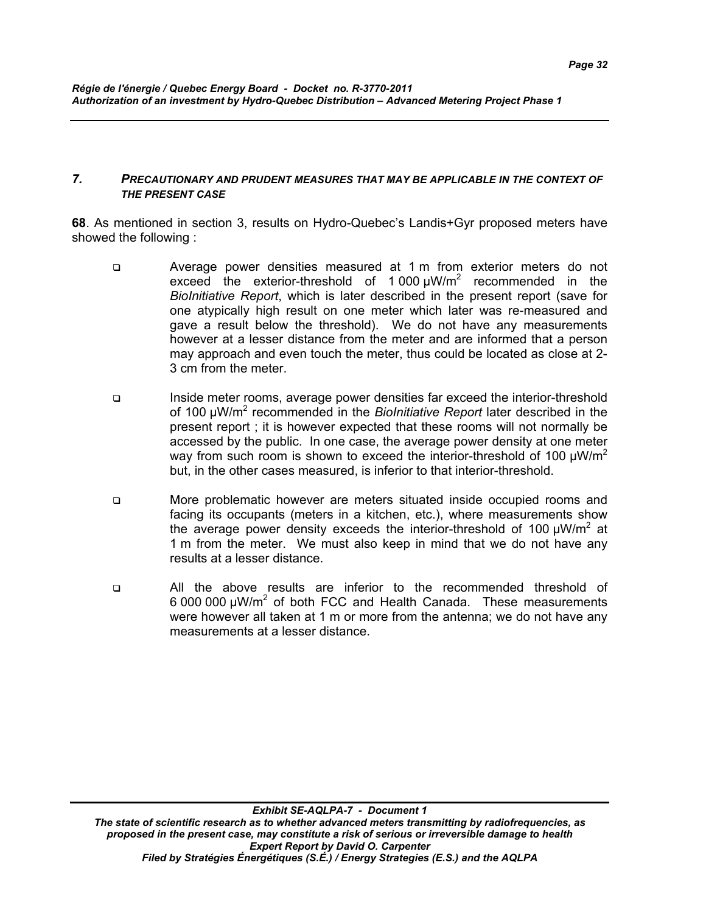#### *7. PRECAUTIONARY AND PRUDENT MEASURES THAT MAY BE APPLICABLE IN THE CONTEXT OF THE PRESENT CASE*

**68**. As mentioned in section 3, results on Hydro-Quebec's Landis+Gyr proposed meters have showed the following :

- Average power densities measured at 1 m from exterior meters do not exceed the exterior-threshold of 1 000  $\mu$ W/m<sup>2</sup> recommended in the *BioInitiative Report*, which is later described in the present report (save for one atypically high result on one meter which later was re-measured and gave a result below the threshold). We do not have any measurements however at a lesser distance from the meter and are informed that a person may approach and even touch the meter, thus could be located as close at 2- 3 cm from the meter.
- Inside meter rooms, average power densities far exceed the interior-threshold of 100 µW/m<sup>2</sup> recommended in the *BioInitiative Report* later described in the present report ; it is however expected that these rooms will not normally be accessed by the public. In one case, the average power density at one meter way from such room is shown to exceed the interior-threshold of 100  $\mu$ W/m<sup>2</sup> but, in the other cases measured, is inferior to that interior-threshold.
- More problematic however are meters situated inside occupied rooms and facing its occupants (meters in a kitchen, etc.), where measurements show the average power density exceeds the interior-threshold of 100  $\mu$ W/m<sup>2</sup> at 1 m from the meter. We must also keep in mind that we do not have any results at a lesser distance.
- All the above results are inferior to the recommended threshold of 6 000 000  $\mu$ W/m<sup>2</sup> of both FCC and Health Canada. These measurements were however all taken at 1 m or more from the antenna; we do not have any measurements at a lesser distance.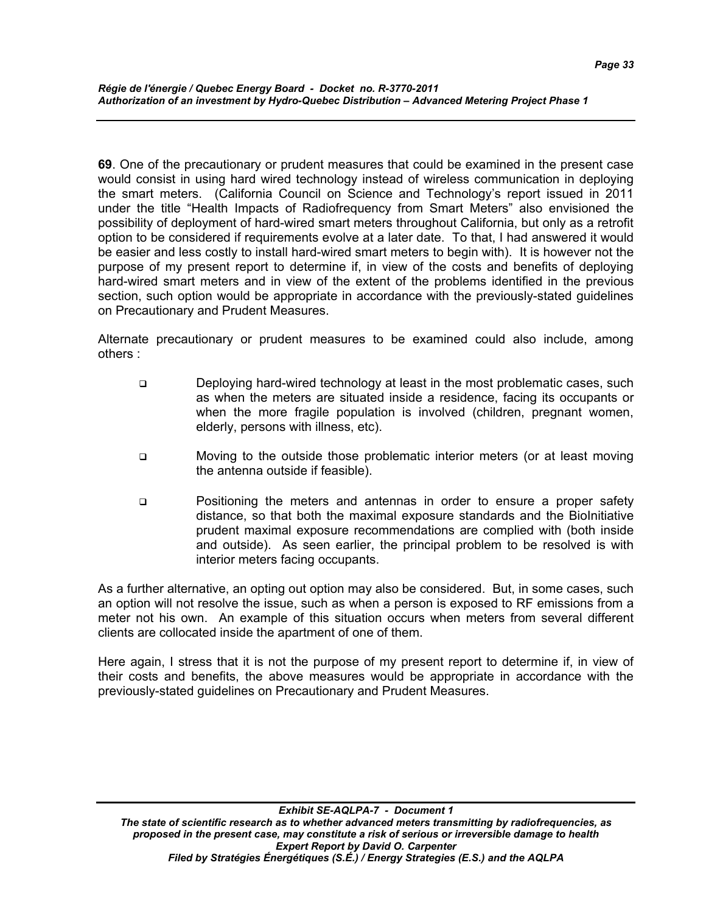**69**. One of the precautionary or prudent measures that could be examined in the present case would consist in using hard wired technology instead of wireless communication in deploying the smart meters. (California Council on Science and Technologyis report issued in 2011 under the title "Health Impacts of Radiofrequency from Smart Meters" also envisioned the possibility of deployment of hard-wired smart meters throughout California, but only as a retrofit option to be considered if requirements evolve at a later date. To that, I had answered it would be easier and less costly to install hard-wired smart meters to begin with). It is however not the purpose of my present report to determine if, in view of the costs and benefits of deploying hard-wired smart meters and in view of the extent of the problems identified in the previous section, such option would be appropriate in accordance with the previously-stated guidelines on Precautionary and Prudent Measures.

Alternate precautionary or prudent measures to be examined could also include, among others :

- Deploying hard-wired technology at least in the most problematic cases, such as when the meters are situated inside a residence, facing its occupants or when the more fragile population is involved (children, pregnant women, elderly, persons with illness, etc).
- Moving to the outside those problematic interior meters (or at least moving the antenna outside if feasible).
- Positioning the meters and antennas in order to ensure a proper safety distance, so that both the maximal exposure standards and the BioInitiative prudent maximal exposure recommendations are complied with (both inside and outside). As seen earlier, the principal problem to be resolved is with interior meters facing occupants.

As a further alternative, an opting out option may also be considered. But, in some cases, such an option will not resolve the issue, such as when a person is exposed to RF emissions from a meter not his own. An example of this situation occurs when meters from several different clients are collocated inside the apartment of one of them.

Here again, I stress that it is not the purpose of my present report to determine if, in view of their costs and benefits, the above measures would be appropriate in accordance with the previously-stated guidelines on Precautionary and Prudent Measures.